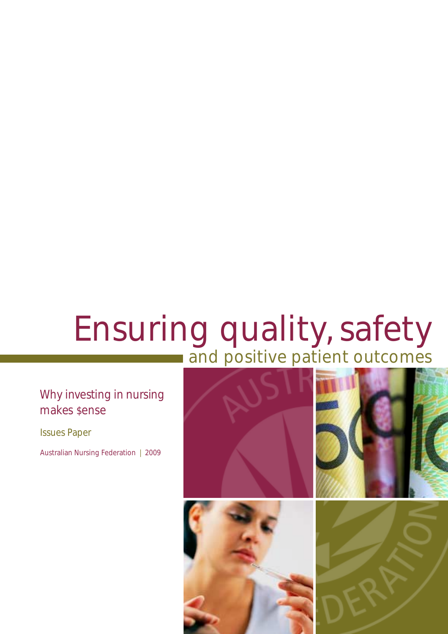# Ensuring quality, safety and positive patient outcomes

### Why investing in nursing makes \$ense

Issues Paper

Australian Nursing Federation | 2009

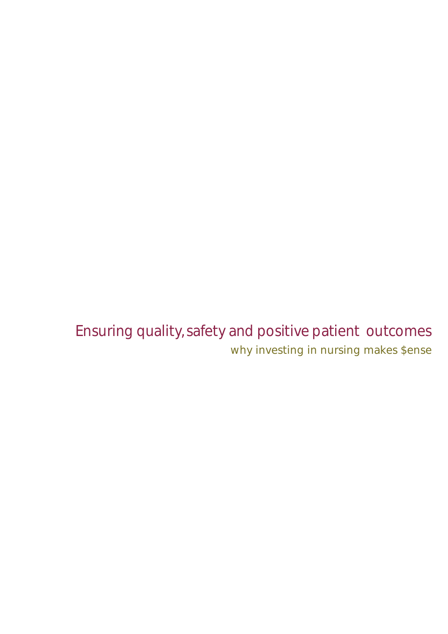Ensuring quality, safety and positive patient outcomes why investing in nursing makes \$ense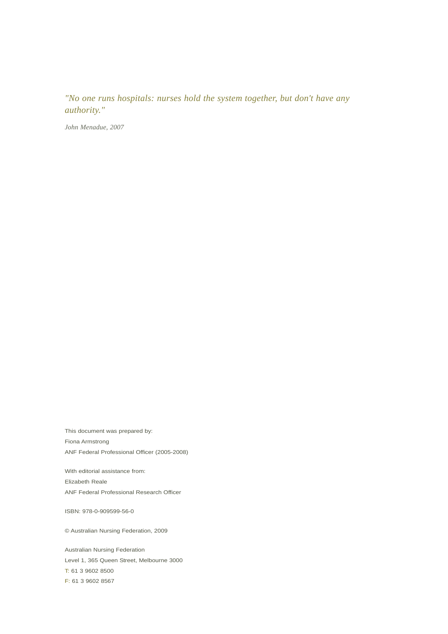*"No one runs hospitals: nurses hold the system together, but don't have any authority."*

*John Menadue, 2007*

This document was prepared by: Fiona Armstrong ANF Federal Professional Officer (2005-2008)

With editorial assistance from: Elizabeth Reale ANF Federal Professional Research Officer

ISBN: 978-0-909599-56-0

© Australian Nursing Federation, 2009

Australian Nursing Federation Level 1, 365 Queen Street, Melbourne 3000 T: 61 3 9602 8500 F: 61 3 9602 8567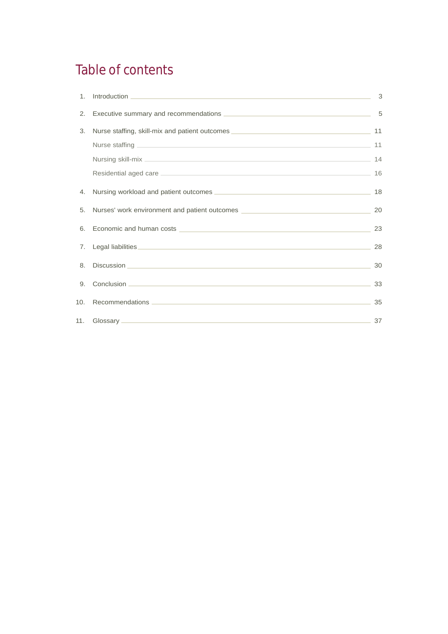# Table of contents

| 1.             |                                                                                     | 3  |
|----------------|-------------------------------------------------------------------------------------|----|
| 2.             |                                                                                     | 5  |
| 3.             | Nurse staffing, skill-mix and patient outcomes _________________________________    | 11 |
|                |                                                                                     | 11 |
|                |                                                                                     | 14 |
|                |                                                                                     | 16 |
| 4.             | Nursing workload and patient outcomes <b>CONSCRIPTION CONSCRIPTION CONSCRIPTION</b> | 18 |
| 5.             | Nurses' work environment and patient outcomes __________________________________    | 20 |
| 6.             |                                                                                     | 23 |
| 7 <sub>1</sub> |                                                                                     | 28 |
| 8.             |                                                                                     | 30 |
| 9 <sub>1</sub> |                                                                                     | 33 |
| 10.            |                                                                                     | 35 |
|                |                                                                                     | 37 |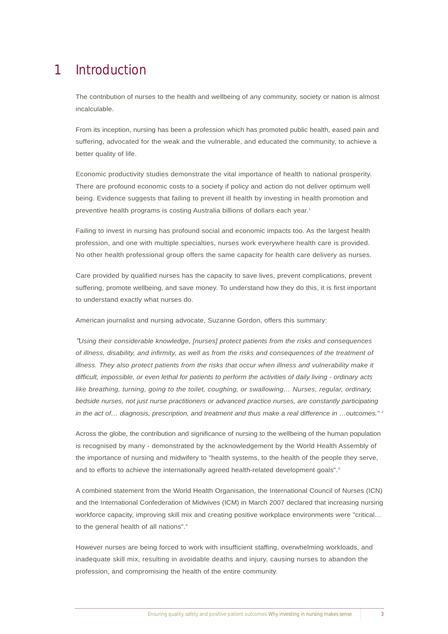#### Introduction 1

The contribution of nurses to the health and wellbeing of any community, society or nation is almost incalculable.

From its inception, nursing has been a profession which has promoted public health, eased pain and suffering, advocated for the weak and the vulnerable, and educated the community, to achieve a better quality of life.

Economic productivity studies demonstrate the vital importance of health to national prosperity. There are profound economic costs to a society if policy and action do not deliver optimum well being. Evidence suggests that failing to prevent ill health by investing in health promotion and preventive health programs is costing Australia billions of dollars each year.<sup>1</sup>

Failing to invest in nursing has profound social and economic impacts too. As the largest health profession, and one with multiple specialties, nurses work everywhere health care is provided. No other health professional group offers the same capacity for health care delivery as nurses.

Care provided by qualified nurses has the capacity to save lives, prevent complications, prevent suffering, promote wellbeing, and save money. To understand how they do this, it is first important to understand exactly what nurses do.

American journalist and nursing advocate, Suzanne Gordon, offers this summary:

"*Using their considerable knowledge, [nurses] protect patients from the risks and consequences of illness, disability, and infirmity, as well as from the risks and consequences of the treatment of illness. They also protect patients from the risks that occur when illness and vulnerability make it difficult, impossible, or even lethal for patients to perform the activities of daily living - ordinary acts like breathing, turning, going to the toilet, coughing, or swallowing… Nurses, regular, ordinary, bedside nurses, not just nurse practitioners or advanced practice nurses, are constantly participating in the act of… diagnosis, prescription, and treatment and thus make a real difference in …outcomes."* <sup>2</sup>

Across the globe, the contribution and significance of nursing to the wellbeing of the human population is recognised by many - demonstrated by the acknowledgement by the World Health Assembly of the importance of nursing and midwifery to "health systems, to the health of the people they serve, and to efforts to achieve the internationally agreed health-related development goals".<sup>3</sup>

A combined statement from the World Health Organisation, the International Council of Nurses (ICN) and the International Confederation of Midwives (ICM) in March 2007 declared that increasing nursing workforce capacity, improving skill mix and creating positive workplace environments were "critical... to the general health of all nations".4

However nurses are being forced to work with insufficient staffing, overwhelming workloads, and inadequate skill mix, resulting in avoidable deaths and injury, causing nurses to abandon the profession, and compromising the health of the entire community.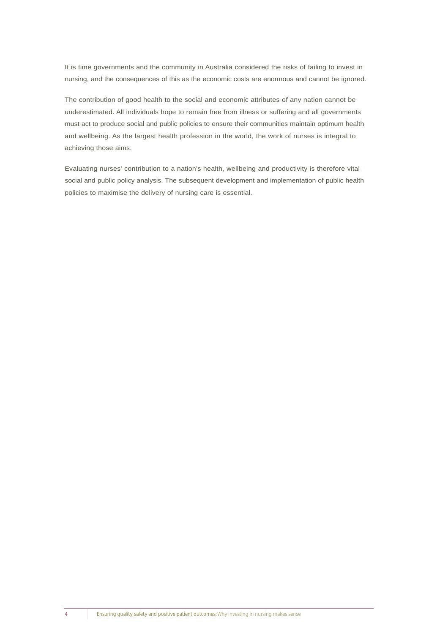It is time governments and the community in Australia considered the risks of failing to invest in nursing, and the consequences of this as the economic costs are enormous and cannot be ignored.

The contribution of good health to the social and economic attributes of any nation cannot be underestimated. All individuals hope to remain free from illness or suffering and all governments must act to produce social and public policies to ensure their communities maintain optimum health and wellbeing. As the largest health profession in the world, the work of nurses is integral to achieving those aims.

Evaluating nurses' contribution to a nation's health, wellbeing and productivity is therefore vital social and public policy analysis. The subsequent development and implementation of public health policies to maximise the delivery of nursing care is essential.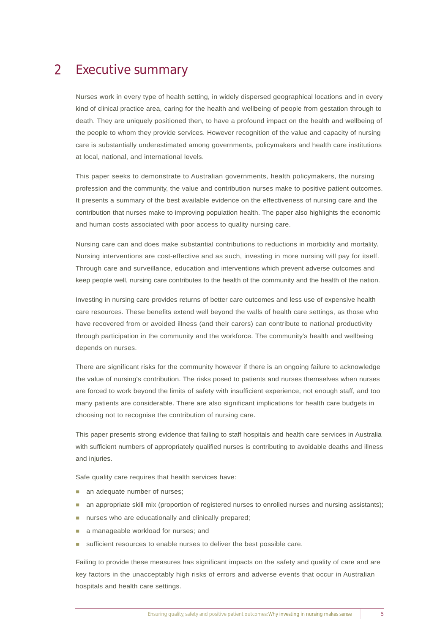#### Executive summary 2

Nurses work in every type of health setting, in widely dispersed geographical locations and in every kind of clinical practice area, caring for the health and wellbeing of people from gestation through to death. They are uniquely positioned then, to have a profound impact on the health and wellbeing of the people to whom they provide services. However recognition of the value and capacity of nursing care is substantially underestimated among governments, policymakers and health care institutions at local, national, and international levels.

This paper seeks to demonstrate to Australian governments, health policymakers, the nursing profession and the community, the value and contribution nurses make to positive patient outcomes. It presents a summary of the best available evidence on the effectiveness of nursing care and the contribution that nurses make to improving population health. The paper also highlights the economic and human costs associated with poor access to quality nursing care.

Nursing care can and does make substantial contributions to reductions in morbidity and mortality. Nursing interventions are cost-effective and as such, investing in more nursing will pay for itself. Through care and surveillance, education and interventions which prevent adverse outcomes and keep people well, nursing care contributes to the health of the community and the health of the nation.

Investing in nursing care provides returns of better care outcomes and less use of expensive health care resources. These benefits extend well beyond the walls of health care settings, as those who have recovered from or avoided illness (and their carers) can contribute to national productivity through participation in the community and the workforce. The community's health and wellbeing depends on nurses.

There are significant risks for the community however if there is an ongoing failure to acknowledge the value of nursing's contribution. The risks posed to patients and nurses themselves when nurses are forced to work beyond the limits of safety with insufficient experience, not enough staff, and too many patients are considerable. There are also significant implications for health care budgets in choosing not to recognise the contribution of nursing care.

This paper presents strong evidence that failing to staff hospitals and health care services in Australia with sufficient numbers of appropriately qualified nurses is contributing to avoidable deaths and illness and injuries.

Safe quality care requires that health services have:

- an adequate number of nurses;
- an appropriate skill mix (proportion of registered nurses to enrolled nurses and nursing assistants);
- nurses who are educationally and clinically prepared;
- a manageable workload for nurses; and
- sufficient resources to enable nurses to deliver the best possible care.

Failing to provide these measures has significant impacts on the safety and quality of care and are key factors in the unacceptably high risks of errors and adverse events that occur in Australian hospitals and health care settings.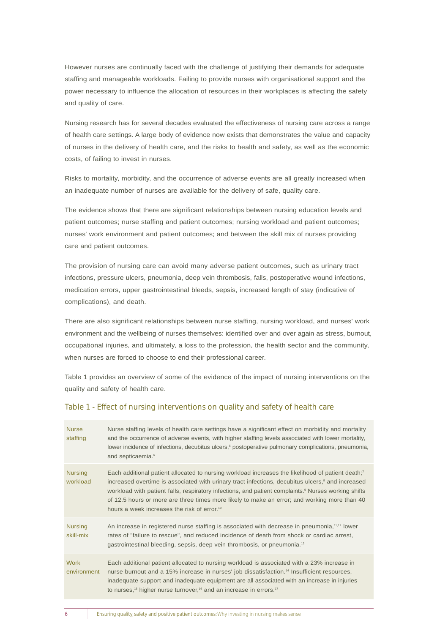However nurses are continually faced with the challenge of justifying their demands for adequate staffing and manageable workloads. Failing to provide nurses with organisational support and the power necessary to influence the allocation of resources in their workplaces is affecting the safety and quality of care.

Nursing research has for several decades evaluated the effectiveness of nursing care across a range of health care settings. A large body of evidence now exists that demonstrates the value and capacity of nurses in the delivery of health care, and the risks to health and safety, as well as the economic costs, of failing to invest in nurses.

Risks to mortality, morbidity, and the occurrence of adverse events are all greatly increased when an inadequate number of nurses are available for the delivery of safe, quality care.

The evidence shows that there are significant relationships between nursing education levels and patient outcomes; nurse staffing and patient outcomes; nursing workload and patient outcomes; nurses' work environment and patient outcomes; and between the skill mix of nurses providing care and patient outcomes.

The provision of nursing care can avoid many adverse patient outcomes, such as urinary tract infections, pressure ulcers, pneumonia, deep vein thrombosis, falls, postoperative wound infections, medication errors, upper gastrointestinal bleeds, sepsis, increased length of stay (indicative of complications), and death.

There are also significant relationships between nurse staffing, nursing workload, and nurses' work environment and the wellbeing of nurses themselves: identified over and over again as stress, burnout, occupational injuries, and ultimately, a loss to the profession, the health sector and the community, when nurses are forced to choose to end their professional career.

Table 1 provides an overview of some of the evidence of the impact of nursing interventions on the quality and safety of health care.

#### Table 1 - Effect of nursing interventions on quality and safety of health care

| <b>Nurse</b><br>staffing    | Nurse staffing levels of health care settings have a significant effect on morbidity and mortality<br>and the occurrence of adverse events, with higher staffing levels associated with lower mortality,<br>lower incidence of infections, decubitus ulcers, <sup>5</sup> postoperative pulmonary complications, pneumonia,<br>and septicaemia. <sup>6</sup>                                                                                                                                                |
|-----------------------------|-------------------------------------------------------------------------------------------------------------------------------------------------------------------------------------------------------------------------------------------------------------------------------------------------------------------------------------------------------------------------------------------------------------------------------------------------------------------------------------------------------------|
| <b>Nursing</b><br>workload  | Each additional patient allocated to nursing workload increases the likelihood of patient death; <sup>7</sup><br>increased overtime is associated with urinary tract infections, decubitus ulcers, <sup>8</sup> and increased<br>workload with patient falls, respiratory infections, and patient complaints. <sup>9</sup> Nurses working shifts<br>of 12.5 hours or more are three times more likely to make an error; and working more than 40<br>hours a week increases the risk of error. <sup>10</sup> |
| <b>Nursing</b><br>skill-mix | An increase in registered nurse staffing is associated with decrease in pneumonia, <sup>11,12</sup> lower<br>rates of "failure to rescue", and reduced incidence of death from shock or cardiac arrest,<br>gastrointestinal bleeding, sepsis, deep vein thrombosis, or pneumonia. <sup>13</sup>                                                                                                                                                                                                             |
| <b>Work</b><br>environment  | Each additional patient allocated to nursing workload is associated with a 23% increase in<br>nurse burnout and a 15% increase in nurses' job dissatisfaction. <sup>14</sup> Insufficient resources,<br>inadequate support and inadequate equipment are all associated with an increase in injuries<br>to nurses, <sup>15</sup> higher nurse turnover, <sup>16</sup> and an increase in errors. <sup>17</sup>                                                                                               |

<sup>6</sup> Ensuring quality, safety and positive patient outcomes:Why investing in nursing makes sense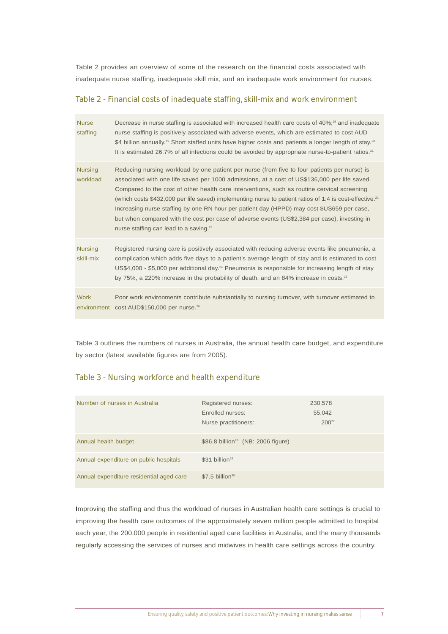Table 2 provides an overview of some of the research on the financial costs associated with inadequate nurse staffing, inadequate skill mix, and an inadequate work environment for nurses.

### Table 2 - Financial costs of inadequate staffing, skill-mix and work environment

| <b>Nurse</b><br>staffing    | Decrease in nurse staffing is associated with increased health care costs of 40%; <sup>18</sup> and inadequate<br>nurse staffing is positively associated with adverse events, which are estimated to cost AUD<br>\$4 billion annually. <sup>19</sup> Short staffed units have higher costs and patients a longer length of stay. <sup>20</sup><br>It is estimated 26.7% of all infections could be avoided by appropriate nurse-to-patient ratios. <sup>21</sup>                                                                                                                                                                                                       |
|-----------------------------|-------------------------------------------------------------------------------------------------------------------------------------------------------------------------------------------------------------------------------------------------------------------------------------------------------------------------------------------------------------------------------------------------------------------------------------------------------------------------------------------------------------------------------------------------------------------------------------------------------------------------------------------------------------------------|
| <b>Nursing</b><br>workload  | Reducing nursing workload by one patient per nurse (from five to four patients per nurse) is<br>associated with one life saved per 1000 admissions, at a cost of US\$136,000 per life saved.<br>Compared to the cost of other health care interventions, such as routine cervical screening<br>(which costs \$432,000 per life saved) implementing nurse to patient ratios of 1:4 is cost-effective. <sup>22</sup><br>Increasing nurse staffing by one RN hour per patient day (HPPD) may cost \$US659 per case,<br>but when compared with the cost per case of adverse events (US\$2,384 per case), investing in<br>nurse staffing can lead to a saving. <sup>23</sup> |
| <b>Nursing</b><br>skill-mix | Registered nursing care is positively associated with reducing adverse events like pneumonia, a<br>complication which adds five days to a patient's average length of stay and is estimated to cost<br>US\$4,000 - \$5,000 per additional day. <sup>24</sup> Pneumonia is responsible for increasing length of stay<br>by 75%, a 220% increase in the probability of death, and an 84% increase in costs. <sup>25</sup>                                                                                                                                                                                                                                                 |
| <b>Work</b><br>environment  | Poor work environments contribute substantially to nursing turnover, with turnover estimated to<br>cost AUD\$150,000 per nurse. <sup>26</sup>                                                                                                                                                                                                                                                                                                                                                                                                                                                                                                                           |

Table 3 outlines the numbers of nurses in Australia, the annual health care budget, and expenditure by sector (latest available figures are from 2005).

### Table 3 - Nursing workforce and health expenditure

| Number of nurses in Australia            | Registered nurses:<br>Enrolled nurses:<br>Nurse practitioners: | 230,578<br>55,042<br>$200^{27}$ |
|------------------------------------------|----------------------------------------------------------------|---------------------------------|
| Annual health budget                     | \$86.8 billion <sup>28</sup> (NB: 2006 figure)                 |                                 |
| Annual expenditure on public hospitals   | $$31 billion^{29}$                                             |                                 |
| Annual expenditure residential aged care | $$7.5$ billion <sup>30</sup>                                   |                                 |

Improving the staffing and thus the workload of nurses in Australian health care settings is crucial to improving the health care outcomes of the approximately seven million people admitted to hospital each year, the 200,000 people in residential aged care facilities in Australia, and the many thousands regularly accessing the services of nurses and midwives in health care settings across the country.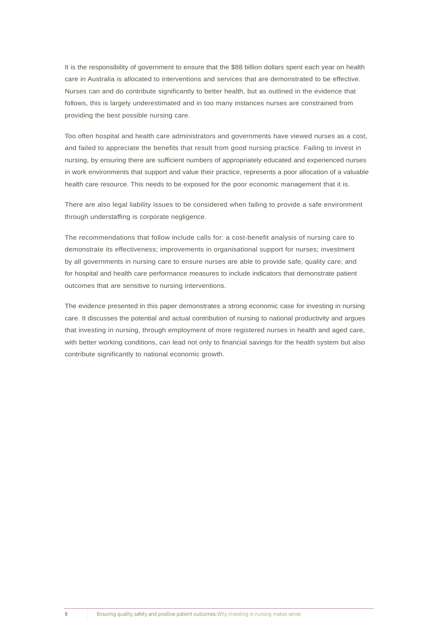It is the responsibility of government to ensure that the \$88 billion dollars spent each year on health care in Australia is allocated to interventions and services that are demonstrated to be effective. Nurses can and do contribute significantly to better health, but as outlined in the evidence that follows, this is largely underestimated and in too many instances nurses are constrained from providing the best possible nursing care.

Too often hospital and health care administrators and governments have viewed nurses as a cost, and failed to appreciate the benefits that result from good nursing practice. Failing to invest in nursing, by ensuring there are sufficient numbers of appropriately educated and experienced nurses in work environments that support and value their practice, represents a poor allocation of a valuable health care resource. This needs to be exposed for the poor economic management that it is.

There are also legal liability issues to be considered when failing to provide a safe environment through understaffing is corporate negligence.

The recommendations that follow include calls for: a cost-benefit analysis of nursing care to demonstrate its effectiveness; improvements in organisational support for nurses; investment by all governments in nursing care to ensure nurses are able to provide safe, quality care; and for hospital and health care performance measures to include indicators that demonstrate patient outcomes that are sensitive to nursing interventions.

The evidence presented in this paper demonstrates a strong economic case for investing in nursing care. It discusses the potential and actual contribution of nursing to national productivity and argues that investing in nursing, through employment of more registered nurses in health and aged care, with better working conditions, can lead not only to financial savings for the health system but also contribute significantly to national economic growth.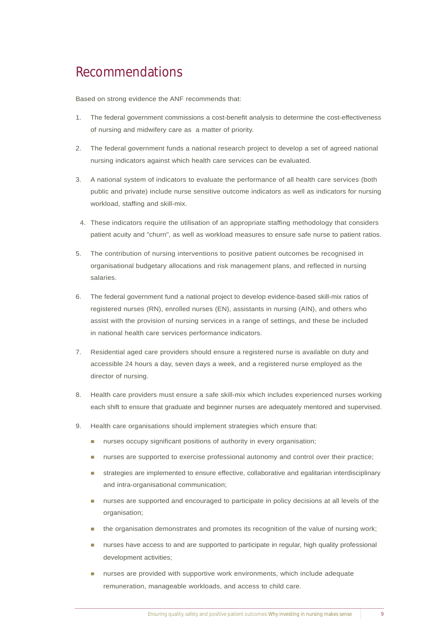# Recommendations

Based on strong evidence the ANF recommends that:

- 1. The federal government commissions a cost-benefit analysis to determine the cost-effectiveness of nursing and midwifery care as a matter of priority.
- 2. The federal government funds a national research project to develop a set of agreed national nursing indicators against which health care services can be evaluated.
- 3. A national system of indicators to evaluate the performance of all health care services (both public and private) include nurse sensitive outcome indicators as well as indicators for nursing workload, staffing and skill-mix.
- 4. These indicators require the utilisation of an appropriate staffing methodology that considers patient acuity and "churn", as well as workload measures to ensure safe nurse to patient ratios.
- 5. The contribution of nursing interventions to positive patient outcomes be recognised in organisational budgetary allocations and risk management plans, and reflected in nursing salaries.
- 6. The federal government fund a national project to develop evidence-based skill-mix ratios of registered nurses (RN), enrolled nurses (EN), assistants in nursing (AIN), and others who assist with the provision of nursing services in a range of settings, and these be included in national health care services performance indicators.
- 7. Residential aged care providers should ensure a registered nurse is available on duty and accessible 24 hours a day, seven days a week, and a registered nurse employed as the director of nursing.
- 8. Health care providers must ensure a safe skill-mix which includes experienced nurses working each shift to ensure that graduate and beginner nurses are adequately mentored and supervised.
- 9. Health care organisations should implement strategies which ensure that:
	- nurses occupy significant positions of authority in every organisation;
	- ! nurses are supported to exercise professional autonomy and control over their practice;
	- strategies are implemented to ensure effective, collaborative and egalitarian interdisciplinary and intra-organisational communication;
	- nurses are supported and encouraged to participate in policy decisions at all levels of the organisation;
	- ! the organisation demonstrates and promotes its recognition of the value of nursing work;
	- **nurses have access to and are supported to participate in regular, high quality professional** development activities;
	- ! nurses are provided with supportive work environments, which include adequate remuneration, manageable workloads, and access to child care.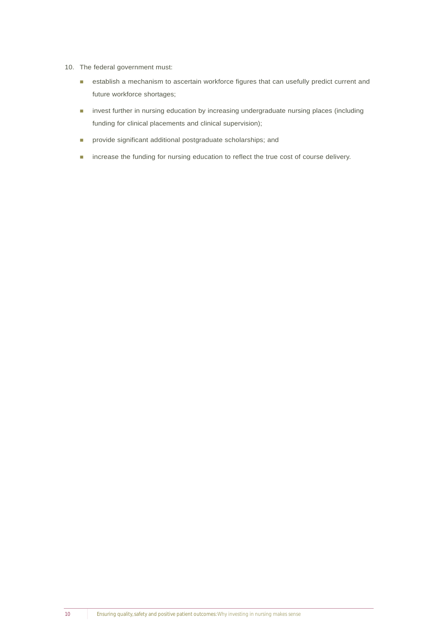- 10. The federal government must:
	- **EXECTED ENDIRIES A** mechanism to ascertain workforce figures that can usefully predict current and future workforce shortages;
	- **I** invest further in nursing education by increasing undergraduate nursing places (including funding for clinical placements and clinical supervision);
	- **n** provide significant additional postgraduate scholarships; and
	- **n** increase the funding for nursing education to reflect the true cost of course delivery.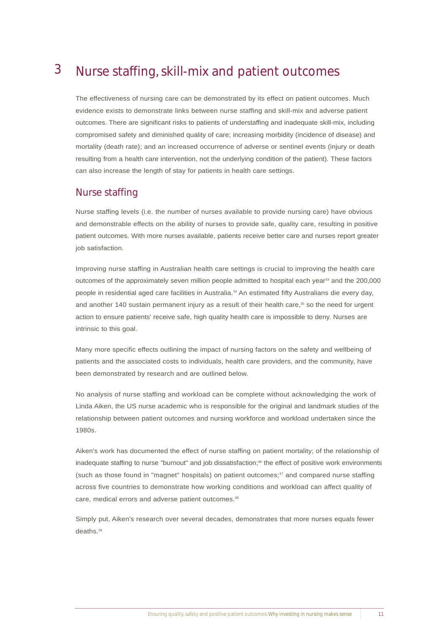#### Nurse staffing, skill-mix and patient outcomes 3

The effectiveness of nursing care can be demonstrated by its effect on patient outcomes. Much evidence exists to demonstrate links between nurse staffing and skill-mix and adverse patient outcomes. There are significant risks to patients of understaffing and inadequate skill-mix, including compromised safety and diminished quality of care; increasing morbidity (incidence of disease) and mortality (death rate); and an increased occurrence of adverse or sentinel events (injury or death resulting from a health care intervention, not the underlying condition of the patient). These factors can also increase the length of stay for patients in health care settings.

### Nurse staffing

Nurse staffing levels (i.e. the number of nurses available to provide nursing care) have obvious and demonstrable effects on the ability of nurses to provide safe, quality care, resulting in positive patient outcomes. With more nurses available, patients receive better care and nurses report greater job satisfaction.

Improving nurse staffing in Australian health care settings is crucial to improving the health care outcomes of the approximately seven million people admitted to hospital each year<sup>33</sup> and the 200,000 people in residential aged care facilities in Australia.<sup>34</sup> An estimated fifty Australians die every day, and another 140 sustain permanent injury as a result of their health care,<sup>35</sup> so the need for urgent action to ensure patients' receive safe, high quality health care is impossible to deny. Nurses are intrinsic to this goal.

Many more specific effects outlining the impact of nursing factors on the safety and wellbeing of patients and the associated costs to individuals, health care providers, and the community, have been demonstrated by research and are outlined below.

No analysis of nurse staffing and workload can be complete without acknowledging the work of Linda Aiken, the US nurse academic who is responsible for the original and landmark studies of the relationship between patient outcomes and nursing workforce and workload undertaken since the 1980s.

Aiken's work has documented the effect of nurse staffing on patient mortality; of the relationship of inadequate staffing to nurse "burnout" and job dissatisfaction;<sup>36</sup> the effect of positive work environments (such as those found in "magnet" hospitals) on patient outcomes: $37$  and compared nurse staffing across five countries to demonstrate how working conditions and workload can affect quality of care, medical errors and adverse patient outcomes.<sup>38</sup>

Simply put, Aiken's research over several decades, demonstrates that more nurses equals fewer deaths.<sup>39</sup>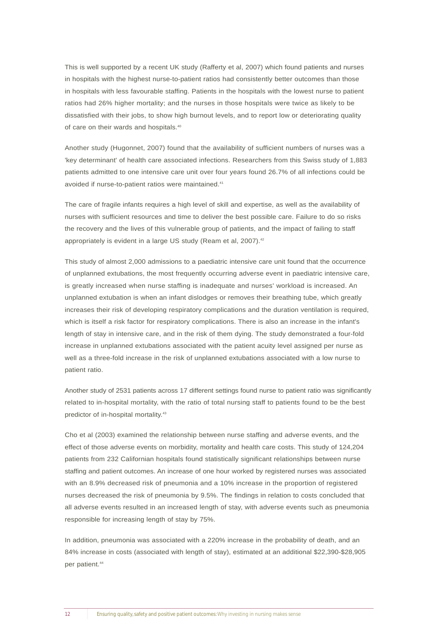This is well supported by a recent UK study (Rafferty et al, 2007) which found patients and nurses in hospitals with the highest nurse-to-patient ratios had consistently better outcomes than those in hospitals with less favourable staffing. Patients in the hospitals with the lowest nurse to patient ratios had 26% higher mortality; and the nurses in those hospitals were twice as likely to be dissatisfied with their jobs, to show high burnout levels, and to report low or deteriorating quality of care on their wards and hospitals.<sup>40</sup>

Another study (Hugonnet, 2007) found that the availability of sufficient numbers of nurses was a 'key determinant' of health care associated infections. Researchers from this Swiss study of 1,883 patients admitted to one intensive care unit over four years found 26.7% of all infections could be avoided if nurse-to-patient ratios were maintained.<sup>41</sup>

The care of fragile infants requires a high level of skill and expertise, as well as the availability of nurses with sufficient resources and time to deliver the best possible care. Failure to do so risks the recovery and the lives of this vulnerable group of patients, and the impact of failing to staff appropriately is evident in a large US study (Ream et al, 2007).<sup>42</sup>

This study of almost 2,000 admissions to a paediatric intensive care unit found that the occurrence of unplanned extubations, the most frequently occurring adverse event in paediatric intensive care, is greatly increased when nurse staffing is inadequate and nurses' workload is increased. An unplanned extubation is when an infant dislodges or removes their breathing tube, which greatly increases their risk of developing respiratory complications and the duration ventilation is required, which is itself a risk factor for respiratory complications. There is also an increase in the infant's length of stay in intensive care, and in the risk of them dying. The study demonstrated a four-fold increase in unplanned extubations associated with the patient acuity level assigned per nurse as well as a three-fold increase in the risk of unplanned extubations associated with a low nurse to patient ratio.

Another study of 2531 patients across 17 different settings found nurse to patient ratio was significantly related to in-hospital mortality, with the ratio of total nursing staff to patients found to be the best predictor of in-hospital mortality.43

Cho et al (2003) examined the relationship between nurse staffing and adverse events, and the effect of those adverse events on morbidity, mortality and health care costs. This study of 124,204 patients from 232 Californian hospitals found statistically significant relationships between nurse staffing and patient outcomes. An increase of one hour worked by registered nurses was associated with an 8.9% decreased risk of pneumonia and a 10% increase in the proportion of registered nurses decreased the risk of pneumonia by 9.5%. The findings in relation to costs concluded that all adverse events resulted in an increased length of stay, with adverse events such as pneumonia responsible for increasing length of stay by 75%.

In addition, pneumonia was associated with a 220% increase in the probability of death, and an 84% increase in costs (associated with length of stay), estimated at an additional \$22,390-\$28,905 per patient.<sup>44</sup>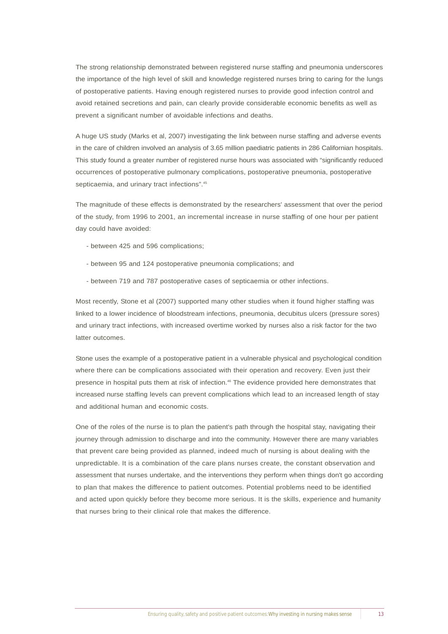The strong relationship demonstrated between registered nurse staffing and pneumonia underscores the importance of the high level of skill and knowledge registered nurses bring to caring for the lungs of postoperative patients. Having enough registered nurses to provide good infection control and avoid retained secretions and pain, can clearly provide considerable economic benefits as well as prevent a significant number of avoidable infections and deaths.

A huge US study (Marks et al, 2007) investigating the link between nurse staffing and adverse events in the care of children involved an analysis of 3.65 million paediatric patients in 286 Californian hospitals. This study found a greater number of registered nurse hours was associated with "significantly reduced occurrences of postoperative pulmonary complications, postoperative pneumonia, postoperative septicaemia, and urinary tract infections".<sup>45</sup>

The magnitude of these effects is demonstrated by the researchers' assessment that over the period of the study, from 1996 to 2001, an incremental increase in nurse staffing of one hour per patient day could have avoided:

- between 425 and 596 complications;
- between 95 and 124 postoperative pneumonia complications; and
- between 719 and 787 postoperative cases of septicaemia or other infections.

Most recently, Stone et al (2007) supported many other studies when it found higher staffing was linked to a lower incidence of bloodstream infections, pneumonia, decubitus ulcers (pressure sores) and urinary tract infections, with increased overtime worked by nurses also a risk factor for the two latter outcomes.

Stone uses the example of a postoperative patient in a vulnerable physical and psychological condition where there can be complications associated with their operation and recovery. Even just their presence in hospital puts them at risk of infection.<sup>46</sup> The evidence provided here demonstrates that increased nurse staffing levels can prevent complications which lead to an increased length of stay and additional human and economic costs.

One of the roles of the nurse is to plan the patient's path through the hospital stay, navigating their journey through admission to discharge and into the community. However there are many variables that prevent care being provided as planned, indeed much of nursing is about dealing with the unpredictable. It is a combination of the care plans nurses create, the constant observation and assessment that nurses undertake, and the interventions they perform when things don't go according to plan that makes the difference to patient outcomes. Potential problems need to be identified and acted upon quickly before they become more serious. It is the skills, experience and humanity that nurses bring to their clinical role that makes the difference.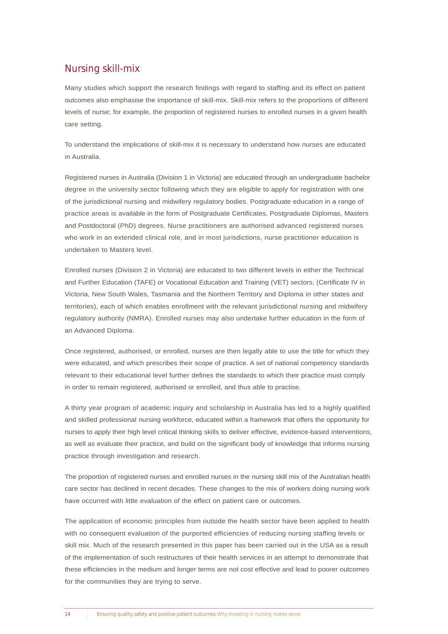### Nursing skill-mix

Many studies which support the research findings with regard to staffing and its effect on patient outcomes also emphasise the importance of skill-mix. Skill-mix refers to the proportions of different levels of nurse; for example, the proportion of registered nurses to enrolled nurses in a given health care setting.

To understand the implications of skill-mix it is necessary to understand how nurses are educated in Australia.

Registered nurses in Australia (Division 1 in Victoria) are educated through an undergraduate bachelor degree in the university sector following which they are eligible to apply for registration with one of the jurisdictional nursing and midwifery regulatory bodies. Postgraduate education in a range of practice areas is available in the form of Postgraduate Certificates, Postgraduate Diplomas, Masters and Postdoctoral (PhD) degrees. Nurse practitioners are authorised advanced registered nurses who work in an extended clinical role, and in most jurisdictions, nurse practitioner education is undertaken to Masters level.

Enrolled nurses (Division 2 in Victoria) are educated to two different levels in either the Technical and Further Education (TAFE) or Vocational Education and Training (VET) sectors; (Certificate IV in Victoria, New South Wales, Tasmania and the Northern Territory and Diploma in other states and territories), each of which enables enrollment with the relevant jurisdictional nursing and midwifery regulatory authority (NMRA). Enrolled nurses may also undertake further education in the form of an Advanced Diploma.

Once registered, authorised, or enrolled, nurses are then legally able to use the title for which they were educated, and which prescribes their scope of practice. A set of national competency standards relevant to their educational level further defines the standards to which their practice must comply in order to remain registered, authorised or enrolled, and thus able to practise.

A thirty year program of academic inquiry and scholarship in Australia has led to a highly qualified and skilled professional nursing workforce, educated within a framework that offers the opportunity for nurses to apply their high level critical thinking skills to deliver effective, evidence-based interventions, as well as evaluate their practice, and build on the significant body of knowledge that informs nursing practice through investigation and research.

The proportion of registered nurses and enrolled nurses in the nursing skill mix of the Australian health care sector has declined in recent decades. These changes to the mix of workers doing nursing work have occurred with little evaluation of the effect on patient care or outcomes.

The application of economic principles from outside the health sector have been applied to health with no consequent evaluation of the purported efficiencies of reducing nursing staffing levels or skill mix. Much of the research presented in this paper has been carried out in the USA as a result of the implementation of such restructures of their health services in an attempt to demonstrate that these efficiencies in the medium and longer terms are not cost effective and lead to poorer outcomes for the communities they are trying to serve.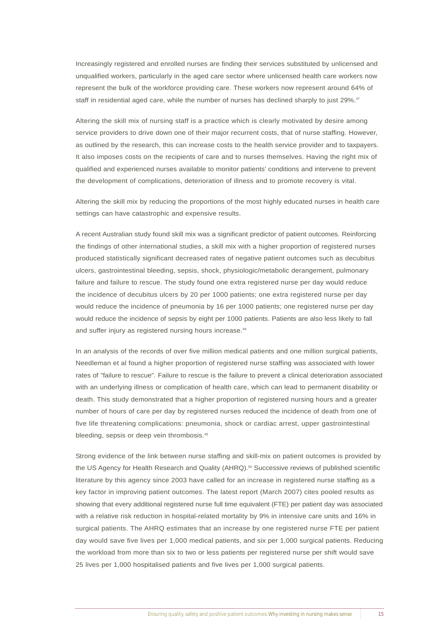Increasingly registered and enrolled nurses are finding their services substituted by unlicensed and unqualified workers, particularly in the aged care sector where unlicensed health care workers now represent the bulk of the workforce providing care. These workers now represent around 64% of staff in residential aged care, while the number of nurses has declined sharply to just 29%.<sup>47</sup>

Altering the skill mix of nursing staff is a practice which is clearly motivated by desire among service providers to drive down one of their major recurrent costs, that of nurse staffing. However, as outlined by the research, this can increase costs to the health service provider and to taxpayers. It also imposes costs on the recipients of care and to nurses themselves. Having the right mix of qualified and experienced nurses available to monitor patients' conditions and intervene to prevent the development of complications, deterioration of illness and to promote recovery is vital.

Altering the skill mix by reducing the proportions of the most highly educated nurses in health care settings can have catastrophic and expensive results.

A recent Australian study found skill mix was a significant predictor of patient outcomes. Reinforcing the findings of other international studies, a skill mix with a higher proportion of registered nurses produced statistically significant decreased rates of negative patient outcomes such as decubitus ulcers, gastrointestinal bleeding, sepsis, shock, physiologic/metabolic derangement, pulmonary failure and failure to rescue. The study found one extra registered nurse per day would reduce the incidence of decubitus ulcers by 20 per 1000 patients; one extra registered nurse per day would reduce the incidence of pneumonia by 16 per 1000 patients; one registered nurse per day would reduce the incidence of sepsis by eight per 1000 patients. Patients are also less likely to fall and suffer injury as registered nursing hours increase.<sup>48</sup>

In an analysis of the records of over five million medical patients and one million surgical patients, Needleman et al found a higher proportion of registered nurse staffing was associated with lower rates of "failure to rescue". Failure to rescue is the failure to prevent a clinical deterioration associated with an underlying illness or complication of health care, which can lead to permanent disability or death. This study demonstrated that a higher proportion of registered nursing hours and a greater number of hours of care per day by registered nurses reduced the incidence of death from one of five life threatening complications: pneumonia, shock or cardiac arrest, upper gastrointestinal bleeding, sepsis or deep vein thrombosis.<sup>49</sup>

Strong evidence of the link between nurse staffing and skill-mix on patient outcomes is provided by the US Agency for Health Research and Quality (AHRQ).<sup>50</sup> Successive reviews of published scientific literature by this agency since 2003 have called for an increase in registered nurse staffing as a key factor in improving patient outcomes. The latest report (March 2007) cites pooled results as showing that every additional registered nurse full time equivalent (FTE) per patient day was associated with a relative risk reduction in hospital-related mortality by 9% in intensive care units and 16% in surgical patients. The AHRQ estimates that an increase by one registered nurse FTE per patient day would save five lives per 1,000 medical patients, and six per 1,000 surgical patients. Reducing the workload from more than six to two or less patients per registered nurse per shift would save 25 lives per 1,000 hospitalised patients and five lives per 1,000 surgical patients.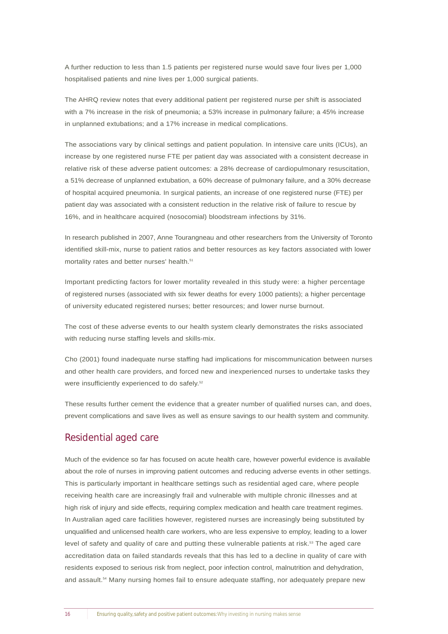A further reduction to less than 1.5 patients per registered nurse would save four lives per 1,000 hospitalised patients and nine lives per 1,000 surgical patients.

The AHRQ review notes that every additional patient per registered nurse per shift is associated with a 7% increase in the risk of pneumonia; a 53% increase in pulmonary failure; a 45% increase in unplanned extubations; and a 17% increase in medical complications.

The associations vary by clinical settings and patient population. In intensive care units (ICUs), an increase by one registered nurse FTE per patient day was associated with a consistent decrease in relative risk of these adverse patient outcomes: a 28% decrease of cardiopulmonary resuscitation, a 51% decrease of unplanned extubation, a 60% decrease of pulmonary failure, and a 30% decrease of hospital acquired pneumonia. In surgical patients, an increase of one registered nurse (FTE) per patient day was associated with a consistent reduction in the relative risk of failure to rescue by 16%, and in healthcare acquired (nosocomial) bloodstream infections by 31%.

In research published in 2007, Anne Tourangneau and other researchers from the University of Toronto identified skill-mix, nurse to patient ratios and better resources as key factors associated with lower mortality rates and better nurses' health.<sup>51</sup>

Important predicting factors for lower mortality revealed in this study were: a higher percentage of registered nurses (associated with six fewer deaths for every 1000 patients); a higher percentage of university educated registered nurses; better resources; and lower nurse burnout.

The cost of these adverse events to our health system clearly demonstrates the risks associated with reducing nurse staffing levels and skills-mix.

Cho (2001) found inadequate nurse staffing had implications for miscommunication between nurses and other health care providers, and forced new and inexperienced nurses to undertake tasks they were insufficiently experienced to do safely.<sup>52</sup>

These results further cement the evidence that a greater number of qualified nurses can, and does, prevent complications and save lives as well as ensure savings to our health system and community.

### Residential aged care

Much of the evidence so far has focused on acute health care, however powerful evidence is available about the role of nurses in improving patient outcomes and reducing adverse events in other settings. This is particularly important in healthcare settings such as residential aged care, where people receiving health care are increasingly frail and vulnerable with multiple chronic illnesses and at high risk of injury and side effects, requiring complex medication and health care treatment regimes. In Australian aged care facilities however, registered nurses are increasingly being substituted by unqualified and unlicensed health care workers, who are less expensive to employ, leading to a lower level of safety and quality of care and putting these vulnerable patients at risk.<sup>53</sup> The aged care accreditation data on failed standards reveals that this has led to a decline in quality of care with residents exposed to serious risk from neglect, poor infection control, malnutrition and dehydration, and assault.<sup>54</sup> Many nursing homes fail to ensure adequate staffing, nor adequately prepare new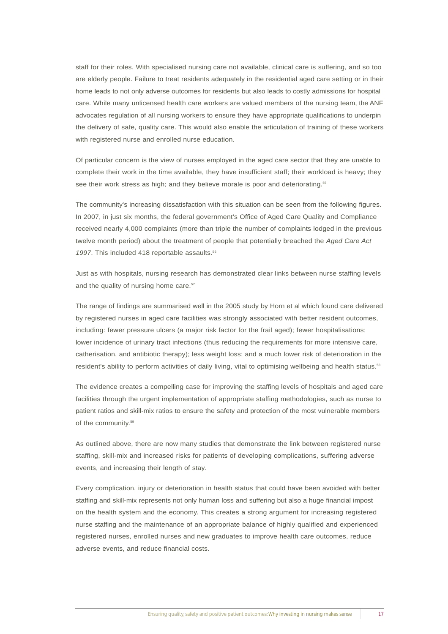staff for their roles. With specialised nursing care not available, clinical care is suffering, and so too are elderly people. Failure to treat residents adequately in the residential aged care setting or in their home leads to not only adverse outcomes for residents but also leads to costly admissions for hospital care. While many unlicensed health care workers are valued members of the nursing team, the ANF advocates regulation of all nursing workers to ensure they have appropriate qualifications to underpin the delivery of safe, quality care. This would also enable the articulation of training of these workers with registered nurse and enrolled nurse education.

Of particular concern is the view of nurses employed in the aged care sector that they are unable to complete their work in the time available, they have insufficient staff; their workload is heavy; they see their work stress as high; and they believe morale is poor and deteriorating.<sup>55</sup>

The community's increasing dissatisfaction with this situation can be seen from the following figures. In 2007, in just six months, the federal government's Office of Aged Care Quality and Compliance received nearly 4,000 complaints (more than triple the number of complaints lodged in the previous twelve month period) about the treatment of people that potentially breached the *Aged Care Act* 1997. This included 418 reportable assaults.<sup>56</sup>

Just as with hospitals, nursing research has demonstrated clear links between nurse staffing levels and the quality of nursing home care.<sup>57</sup>

The range of findings are summarised well in the 2005 study by Horn et al which found care delivered by registered nurses in aged care facilities was strongly associated with better resident outcomes, including: fewer pressure ulcers (a major risk factor for the frail aged); fewer hospitalisations; lower incidence of urinary tract infections (thus reducing the requirements for more intensive care, catherisation, and antibiotic therapy); less weight loss; and a much lower risk of deterioration in the resident's ability to perform activities of daily living, vital to optimising wellbeing and health status.<sup>58</sup>

The evidence creates a compelling case for improving the staffing levels of hospitals and aged care facilities through the urgent implementation of appropriate staffing methodologies, such as nurse to patient ratios and skill-mix ratios to ensure the safety and protection of the most vulnerable members of the community.<sup>59</sup>

As outlined above, there are now many studies that demonstrate the link between registered nurse staffing, skill-mix and increased risks for patients of developing complications, suffering adverse events, and increasing their length of stay.

Every complication, injury or deterioration in health status that could have been avoided with better staffing and skill-mix represents not only human loss and suffering but also a huge financial impost on the health system and the economy. This creates a strong argument for increasing registered nurse staffing and the maintenance of an appropriate balance of highly qualified and experienced registered nurses, enrolled nurses and new graduates to improve health care outcomes, reduce adverse events, and reduce financial costs.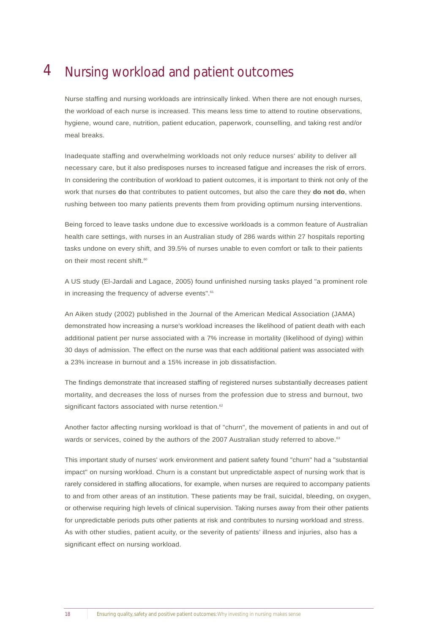#### Nursing workload and patient outcomes 4

Nurse staffing and nursing workloads are intrinsically linked. When there are not enough nurses, the workload of each nurse is increased. This means less time to attend to routine observations, hygiene, wound care, nutrition, patient education, paperwork, counselling, and taking rest and/or meal breaks.

Inadequate staffing and overwhelming workloads not only reduce nurses' ability to deliver all necessary care, but it also predisposes nurses to increased fatigue and increases the risk of errors. In considering the contribution of workload to patient outcomes, it is important to think not only of the work that nurses **do** that contributes to patient outcomes, but also the care they **do not do**, when rushing between too many patients prevents them from providing optimum nursing interventions.

Being forced to leave tasks undone due to excessive workloads is a common feature of Australian health care settings, with nurses in an Australian study of 286 wards within 27 hospitals reporting tasks undone on every shift, and 39.5% of nurses unable to even comfort or talk to their patients on their most recent shift.<sup>60</sup>

A US study (El-Jardali and Lagace, 2005) found unfinished nursing tasks played "a prominent role in increasing the frequency of adverse events".<sup>61</sup>

An Aiken study (2002) published in the Journal of the American Medical Association (JAMA) demonstrated how increasing a nurse's workload increases the likelihood of patient death with each additional patient per nurse associated with a 7% increase in mortality (likelihood of dying) within 30 days of admission. The effect on the nurse was that each additional patient was associated with a 23% increase in burnout and a 15% increase in job dissatisfaction.

The findings demonstrate that increased staffing of registered nurses substantially decreases patient mortality, and decreases the loss of nurses from the profession due to stress and burnout, two significant factors associated with nurse retention.<sup>62</sup>

Another factor affecting nursing workload is that of "churn", the movement of patients in and out of wards or services, coined by the authors of the 2007 Australian study referred to above.<sup>63</sup>

This important study of nurses' work environment and patient safety found "churn" had a "substantial impact" on nursing workload. Churn is a constant but unpredictable aspect of nursing work that is rarely considered in staffing allocations, for example, when nurses are required to accompany patients to and from other areas of an institution. These patients may be frail, suicidal, bleeding, on oxygen, or otherwise requiring high levels of clinical supervision. Taking nurses away from their other patients for unpredictable periods puts other patients at risk and contributes to nursing workload and stress. As with other studies, patient acuity, or the severity of patients' illness and injuries, also has a significant effect on nursing workload.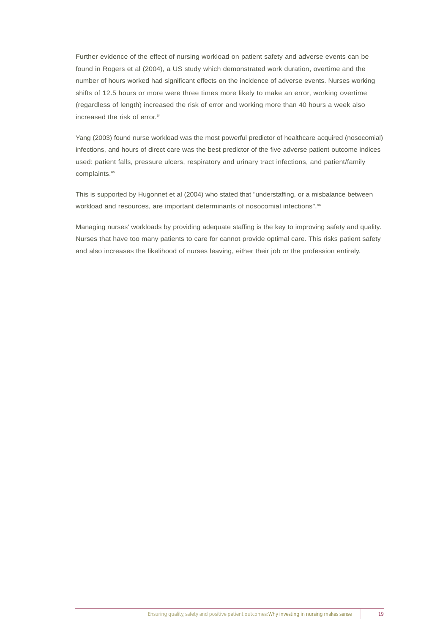Further evidence of the effect of nursing workload on patient safety and adverse events can be found in Rogers et al (2004), a US study which demonstrated work duration, overtime and the number of hours worked had significant effects on the incidence of adverse events. Nurses working shifts of 12.5 hours or more were three times more likely to make an error, working overtime (regardless of length) increased the risk of error and working more than 40 hours a week also increased the risk of error.<sup>64</sup>

Yang (2003) found nurse workload was the most powerful predictor of healthcare acquired (nosocomial) infections, and hours of direct care was the best predictor of the five adverse patient outcome indices used: patient falls, pressure ulcers, respiratory and urinary tract infections, and patient/family complaints.<sup>65</sup>

This is supported by Hugonnet et al (2004) who stated that "understaffing, or a misbalance between workload and resources, are important determinants of nosocomial infections".<sup>66</sup>

Managing nurses' workloads by providing adequate staffing is the key to improving safety and quality. Nurses that have too many patients to care for cannot provide optimal care. This risks patient safety and also increases the likelihood of nurses leaving, either their job or the profession entirely.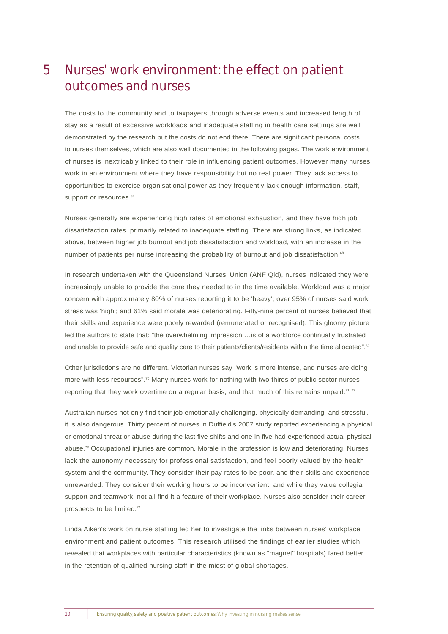### Nurses' work environment: the effect on patient outcomes and nurses 5

The costs to the community and to taxpayers through adverse events and increased length of stay as a result of excessive workloads and inadequate staffing in health care settings are well demonstrated by the research but the costs do not end there. There are significant personal costs to nurses themselves, which are also well documented in the following pages. The work environment of nurses is inextricably linked to their role in influencing patient outcomes. However many nurses work in an environment where they have responsibility but no real power. They lack access to opportunities to exercise organisational power as they frequently lack enough information, staff, support or resources.<sup>67</sup>

Nurses generally are experiencing high rates of emotional exhaustion, and they have high job dissatisfaction rates, primarily related to inadequate staffing. There are strong links, as indicated above, between higher job burnout and job dissatisfaction and workload, with an increase in the number of patients per nurse increasing the probability of burnout and job dissatisfaction.<sup>68</sup>

In research undertaken with the Queensland Nurses' Union (ANF Qld), nurses indicated they were increasingly unable to provide the care they needed to in the time available. Workload was a major concern with approximately 80% of nurses reporting it to be 'heavy'; over 95% of nurses said work stress was 'high'; and 61% said morale was deteriorating. Fifty-nine percent of nurses believed that their skills and experience were poorly rewarded (remunerated or recognised). This gloomy picture led the authors to state that: "the overwhelming impression ... is of a workforce continually frustrated and unable to provide safe and quality care to their patients/clients/residents within the time allocated".<sup>69</sup>

Other jurisdictions are no different. Victorian nurses say "work is more intense, and nurses are doing more with less resources".<sup>70</sup> Many nurses work for nothing with two-thirds of public sector nurses reporting that they work overtime on a regular basis, and that much of this remains unpaid.<sup>71, 72</sup>

Australian nurses not only find their job emotionally challenging, physically demanding, and stressful, it is also dangerous. Thirty percent of nurses in Duffield's 2007 study reported experiencing a physical or emotional threat or abuse during the last five shifts and one in five had experienced actual physical abuse.73 Occupational injuries are common. Morale in the profession is low and deteriorating. Nurses lack the autonomy necessary for professional satisfaction, and feel poorly valued by the health system and the community. They consider their pay rates to be poor, and their skills and experience unrewarded. They consider their working hours to be inconvenient, and while they value collegial support and teamwork, not all find it a feature of their workplace. Nurses also consider their career prospects to be limited.<sup>74</sup>

Linda Aiken's work on nurse staffing led her to investigate the links between nurses' workplace environment and patient outcomes. This research utilised the findings of earlier studies which revealed that workplaces with particular characteristics (known as "magnet" hospitals) fared better in the retention of qualified nursing staff in the midst of global shortages.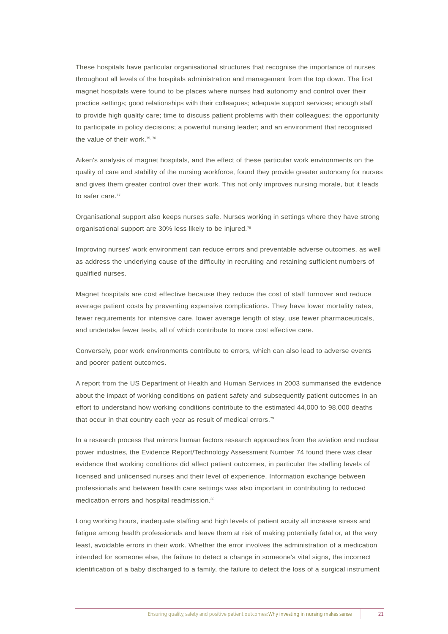These hospitals have particular organisational structures that recognise the importance of nurses throughout all levels of the hospitals administration and management from the top down. The first magnet hospitals were found to be places where nurses had autonomy and control over their practice settings; good relationships with their colleagues; adequate support services; enough staff to provide high quality care; time to discuss patient problems with their colleagues; the opportunity to participate in policy decisions; a powerful nursing leader; and an environment that recognised the value of their work.<sup>75, 76</sup>

Aiken's analysis of magnet hospitals, and the effect of these particular work environments on the quality of care and stability of the nursing workforce, found they provide greater autonomy for nurses and gives them greater control over their work. This not only improves nursing morale, but it leads to safer care.<sup>77</sup>

Organisational support also keeps nurses safe. Nurses working in settings where they have strong organisational support are 30% less likely to be injured.78

Improving nurses' work environment can reduce errors and preventable adverse outcomes, as well as address the underlying cause of the difficulty in recruiting and retaining sufficient numbers of qualified nurses.

Magnet hospitals are cost effective because they reduce the cost of staff turnover and reduce average patient costs by preventing expensive complications. They have lower mortality rates, fewer requirements for intensive care, lower average length of stay, use fewer pharmaceuticals, and undertake fewer tests, all of which contribute to more cost effective care.

Conversely, poor work environments contribute to errors, which can also lead to adverse events and poorer patient outcomes.

A report from the US Department of Health and Human Services in 2003 summarised the evidence about the impact of working conditions on patient safety and subsequently patient outcomes in an effort to understand how working conditions contribute to the estimated 44,000 to 98,000 deaths that occur in that country each year as result of medical errors.<sup>79</sup>

In a research process that mirrors human factors research approaches from the aviation and nuclear power industries, the Evidence Report/Technology Assessment Number 74 found there was clear evidence that working conditions did affect patient outcomes, in particular the staffing levels of licensed and unlicensed nurses and their level of experience. Information exchange between professionals and between health care settings was also important in contributing to reduced medication errors and hospital readmission.<sup>80</sup>

Long working hours, inadequate staffing and high levels of patient acuity all increase stress and fatigue among health professionals and leave them at risk of making potentially fatal or, at the very least, avoidable errors in their work. Whether the error involves the administration of a medication intended for someone else, the failure to detect a change in someone's vital signs, the incorrect identification of a baby discharged to a family, the failure to detect the loss of a surgical instrument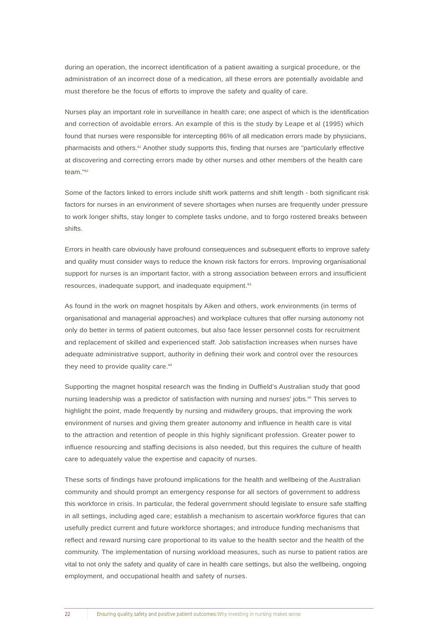during an operation, the incorrect identification of a patient awaiting a surgical procedure, or the administration of an incorrect dose of a medication, all these errors are potentially avoidable and must therefore be the focus of efforts to improve the safety and quality of care.

Nurses play an important role in surveillance in health care; one aspect of which is the identification and correction of avoidable errors. An example of this is the study by Leape et al (1995) which found that nurses were responsible for intercepting 86% of all medication errors made by physicians, pharmacists and others.<sup>81</sup> Another study supports this, finding that nurses are "particularly effective at discovering and correcting errors made by other nurses and other members of the health care team<sup>"82</sup>

Some of the factors linked to errors include shift work patterns and shift length - both significant risk factors for nurses in an environment of severe shortages when nurses are frequently under pressure to work longer shifts, stay longer to complete tasks undone, and to forgo rostered breaks between shifts.

Errors in health care obviously have profound consequences and subsequent efforts to improve safety and quality must consider ways to reduce the known risk factors for errors. Improving organisational support for nurses is an important factor, with a strong association between errors and insufficient resources, inadequate support, and inadequate equipment.<sup>83</sup>

As found in the work on magnet hospitals by Aiken and others, work environments (in terms of organisational and managerial approaches) and workplace cultures that offer nursing autonomy not only do better in terms of patient outcomes, but also face lesser personnel costs for recruitment and replacement of skilled and experienced staff. Job satisfaction increases when nurses have adequate administrative support, authority in defining their work and control over the resources they need to provide quality care.<sup>84</sup>

Supporting the magnet hospital research was the finding in Duffield's Australian study that good nursing leadership was a predictor of satisfaction with nursing and nurses' jobs.<sup>85</sup> This serves to highlight the point, made frequently by nursing and midwifery groups, that improving the work environment of nurses and giving them greater autonomy and influence in health care is vital to the attraction and retention of people in this highly significant profession. Greater power to influence resourcing and staffing decisions is also needed, but this requires the culture of health care to adequately value the expertise and capacity of nurses.

These sorts of findings have profound implications for the health and wellbeing of the Australian community and should prompt an emergency response for all sectors of government to address this workforce in crisis. In particular, the federal government should legislate to ensure safe staffing in all settings, including aged care; establish a mechanism to ascertain workforce figures that can usefully predict current and future workforce shortages; and introduce funding mechanisms that reflect and reward nursing care proportional to its value to the health sector and the health of the community. The implementation of nursing workload measures, such as nurse to patient ratios are vital to not only the safety and quality of care in health care settings, but also the wellbeing, ongoing employment, and occupational health and safety of nurses.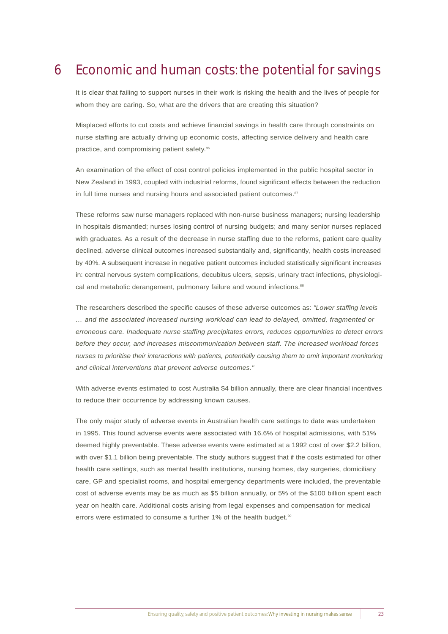#### Economic and human costs: the potential for savings 6

It is clear that failing to support nurses in their work is risking the health and the lives of people for whom they are caring. So, what are the drivers that are creating this situation?

Misplaced efforts to cut costs and achieve financial savings in health care through constraints on nurse staffing are actually driving up economic costs, affecting service delivery and health care practice, and compromising patient safety.<sup>86</sup>

An examination of the effect of cost control policies implemented in the public hospital sector in New Zealand in 1993, coupled with industrial reforms, found significant effects between the reduction in full time nurses and nursing hours and associated patient outcomes.<sup>87</sup>

These reforms saw nurse managers replaced with non-nurse business managers; nursing leadership in hospitals dismantled; nurses losing control of nursing budgets; and many senior nurses replaced with graduates. As a result of the decrease in nurse staffing due to the reforms, patient care quality declined, adverse clinical outcomes increased substantially and, significantly, health costs increased by 40%. A subsequent increase in negative patient outcomes included statistically significant increases in: central nervous system complications, decubitus ulcers, sepsis, urinary tract infections, physiological and metabolic derangement, pulmonary failure and wound infections.<sup>88</sup>

The researchers described the specific causes of these adverse outcomes as: *"Lower staffing levels … and the associated increased nursing workload can lead to delayed, omitted, fragmented or erroneous care. Inadequate nurse staffing precipitates errors, reduces opportunities to detect errors before they occur, and increases miscommunication between staff. The increased workload forces nurses to prioritise their interactions with patients, potentially causing them to omit important monitoring and clinical interventions that prevent adverse outcomes."*

With adverse events estimated to cost Australia \$4 billion annually, there are clear financial incentives to reduce their occurrence by addressing known causes.

The only major study of adverse events in Australian health care settings to date was undertaken in 1995. This found adverse events were associated with 16.6% of hospital admissions, with 51% deemed highly preventable. These adverse events were estimated at a 1992 cost of over \$2.2 billion, with over \$1.1 billion being preventable. The study authors suggest that if the costs estimated for other health care settings, such as mental health institutions, nursing homes, day surgeries, domiciliary care, GP and specialist rooms, and hospital emergency departments were included, the preventable cost of adverse events may be as much as \$5 billion annually, or 5% of the \$100 billion spent each year on health care. Additional costs arising from legal expenses and compensation for medical errors were estimated to consume a further 1% of the health budget.<sup>90</sup>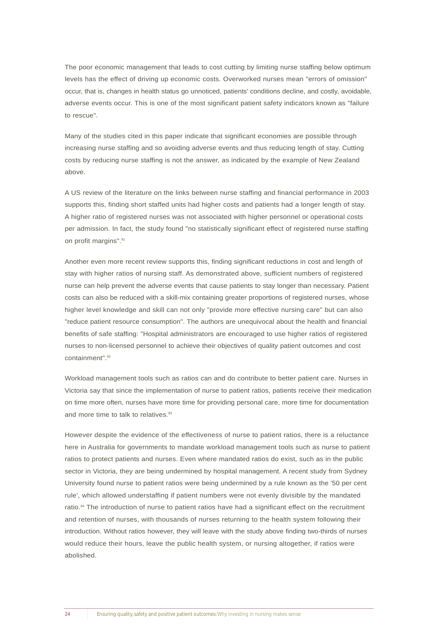The poor economic management that leads to cost cutting by limiting nurse staffing below optimum levels has the effect of driving up economic costs. Overworked nurses mean "errors of omission" occur, that is, changes in health status go unnoticed, patients' conditions decline, and costly, avoidable, adverse events occur. This is one of the most significant patient safety indicators known as "failure to rescue".

Many of the studies cited in this paper indicate that significant economies are possible through increasing nurse staffing and so avoiding adverse events and thus reducing length of stay. Cutting costs by reducing nurse staffing is not the answer, as indicated by the example of New Zealand above.

A US review of the literature on the links between nurse staffing and financial performance in 2003 supports this, finding short staffed units had higher costs and patients had a longer length of stay. A higher ratio of registered nurses was not associated with higher personnel or operational costs per admission. In fact, the study found "no statistically significant effect of registered nurse staffing on profit margins".<sup>91</sup>

Another even more recent review supports this, finding significant reductions in cost and length of stay with higher ratios of nursing staff. As demonstrated above, sufficient numbers of registered nurse can help prevent the adverse events that cause patients to stay longer than necessary. Patient costs can also be reduced with a skill-mix containing greater proportions of registered nurses, whose higher level knowledge and skill can not only "provide more effective nursing care" but can also "reduce patient resource consumption". The authors are unequivocal about the health and financial benefits of safe staffing: "Hospital administrators are encouraged to use higher ratios of registered nurses to non-licensed personnel to achieve their objectives of quality patient outcomes and cost containment".<sup>92</sup>

Workload management tools such as ratios can and do contribute to better patient care. Nurses in Victoria say that since the implementation of nurse to patient ratios, patients receive their medication on time more often, nurses have more time for providing personal care, more time for documentation and more time to talk to relatives.<sup>93</sup>

However despite the evidence of the effectiveness of nurse to patient ratios, there is a reluctance here in Australia for governments to mandate workload management tools such as nurse to patient ratios to protect patients and nurses. Even where mandated ratios do exist, such as in the public sector in Victoria, they are being undermined by hospital management. A recent study from Sydney University found nurse to patient ratios were being undermined by a rule known as the '50 per cent rule', which allowed understaffing if patient numbers were not evenly divisible by the mandated ratio.<sup>94</sup> The introduction of nurse to patient ratios have had a significant effect on the recruitment and retention of nurses, with thousands of nurses returning to the health system following their introduction. Without ratios however, they will leave with the study above finding two-thirds of nurses would reduce their hours, leave the public health system, or nursing altogether, if ratios were abolished.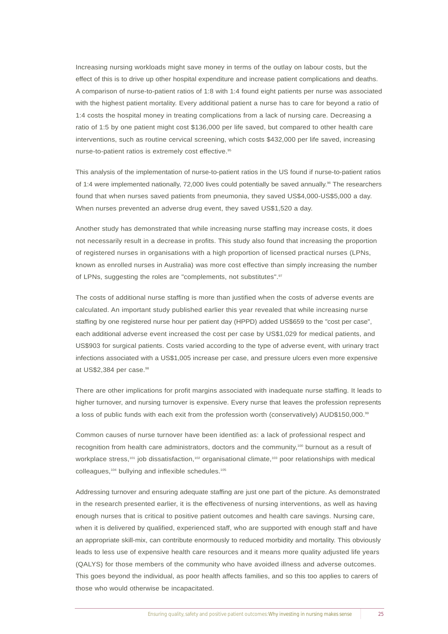Increasing nursing workloads might save money in terms of the outlay on labour costs, but the effect of this is to drive up other hospital expenditure and increase patient complications and deaths. A comparison of nurse-to-patient ratios of 1:8 with 1:4 found eight patients per nurse was associated with the highest patient mortality. Every additional patient a nurse has to care for beyond a ratio of 1:4 costs the hospital money in treating complications from a lack of nursing care. Decreasing a ratio of 1:5 by one patient might cost \$136,000 per life saved, but compared to other health care interventions, such as routine cervical screening, which costs \$432,000 per life saved, increasing nurse-to-patient ratios is extremely cost effective.<sup>95</sup>

This analysis of the implementation of nurse-to-patient ratios in the US found if nurse-to-patient ratios of 1:4 were implemented nationally, 72,000 lives could potentially be saved annually.<sup>96</sup> The researchers found that when nurses saved patients from pneumonia, they saved US\$4,000-US\$5,000 a day. When nurses prevented an adverse drug event, they saved US\$1,520 a day.

Another study has demonstrated that while increasing nurse staffing may increase costs, it does not necessarily result in a decrease in profits. This study also found that increasing the proportion of registered nurses in organisations with a high proportion of licensed practical nurses (LPNs, known as enrolled nurses in Australia) was more cost effective than simply increasing the number of LPNs, suggesting the roles are "complements, not substitutes".<sup>97</sup>

The costs of additional nurse staffing is more than justified when the costs of adverse events are calculated. An important study published earlier this year revealed that while increasing nurse staffing by one registered nurse hour per patient day (HPPD) added US\$659 to the "cost per case", each additional adverse event increased the cost per case by US\$1,029 for medical patients, and US\$903 for surgical patients. Costs varied according to the type of adverse event, with urinary tract infections associated with a US\$1,005 increase per case, and pressure ulcers even more expensive at US\$2,384 per case.<sup>98</sup>

There are other implications for profit margins associated with inadequate nurse staffing. It leads to higher turnover, and nursing turnover is expensive. Every nurse that leaves the profession represents a loss of public funds with each exit from the profession worth (conservatively) AUD\$150,000.<sup>99</sup>

Common causes of nurse turnover have been identified as: a lack of professional respect and recognition from health care administrators, doctors and the community,<sup>100</sup> burnout as a result of workplace stress,<sup>101</sup> job dissatisfaction,<sup>102</sup> organisational climate,<sup>103</sup> poor relationships with medical colleagues,<sup>104</sup> bullying and inflexible schedules.<sup>105</sup>

Addressing turnover and ensuring adequate staffing are just one part of the picture. As demonstrated in the research presented earlier, it is the effectiveness of nursing interventions, as well as having enough nurses that is critical to positive patient outcomes and health care savings. Nursing care, when it is delivered by qualified, experienced staff, who are supported with enough staff and have an appropriate skill-mix, can contribute enormously to reduced morbidity and mortality. This obviously leads to less use of expensive health care resources and it means more quality adjusted life years (QALYS) for those members of the community who have avoided illness and adverse outcomes. This goes beyond the individual, as poor health affects families, and so this too applies to carers of those who would otherwise be incapacitated.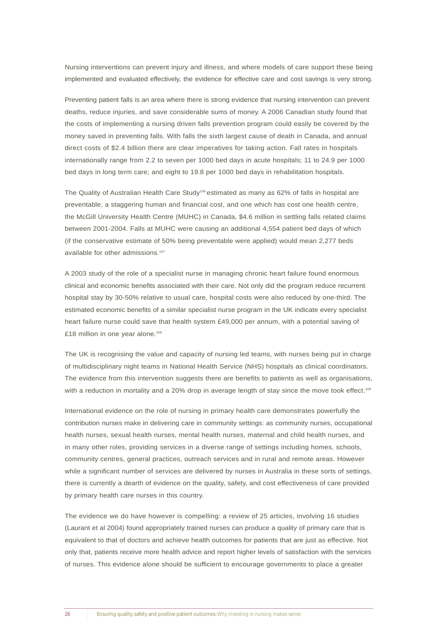Nursing interventions can prevent injury and illness, and where models of care support these being implemented and evaluated effectively, the evidence for effective care and cost savings is very strong.

Preventing patient falls is an area where there is strong evidence that nursing intervention can prevent deaths, reduce injuries, and save considerable sums of money. A 2006 Canadian study found that the costs of implementing a nursing driven falls prevention program could easily be covered by the money saved in preventing falls. With falls the sixth largest cause of death in Canada, and annual direct costs of \$2.4 billion there are clear imperatives for taking action. Fall rates in hospitals internationally range from 2.2 to seven per 1000 bed days in acute hospitals; 11 to 24.9 per 1000 bed days in long term care; and eight to 19.8 per 1000 bed days in rehabilitation hospitals.

The Quality of Australian Health Care Study<sup>106</sup> estimated as many as 62% of falls in hospital are preventable, a staggering human and financial cost, and one which has cost one health centre, the McGill University Health Centre (MUHC) in Canada, \$4.6 million in settling falls related claims between 2001-2004. Falls at MUHC were causing an additional 4,554 patient bed days of which (if the conservative estimate of 50% being preventable were applied) would mean 2,277 beds available for other admissions.<sup>107</sup>

A 2003 study of the role of a specialist nurse in managing chronic heart failure found enormous clinical and economic benefits associated with their care. Not only did the program reduce recurrent hospital stay by 30-50% relative to usual care, hospital costs were also reduced by one-third. The estimated economic benefits of a similar specialist nurse program in the UK indicate every specialist heart failure nurse could save that health system £49,000 per annum, with a potential saving of £18 million in one year alone.<sup>108</sup>

The UK is recognising the value and capacity of nursing led teams, with nurses being put in charge of multidisciplinary night teams in National Health Service (NHS) hospitals as clinical coordinators. The evidence from this intervention suggests there are benefits to patients as well as organisations, with a reduction in mortality and a 20% drop in average length of stay since the move took effect.<sup>109</sup>

International evidence on the role of nursing in primary health care demonstrates powerfully the contribution nurses make in delivering care in community settings: as community nurses, occupational health nurses, sexual health nurses, mental health nurses, maternal and child health nurses, and in many other roles, providing services in a diverse range of settings including homes, schools, community centres, general practices, outreach services and in rural and remote areas. However while a significant number of services are delivered by nurses in Australia in these sorts of settings, there is currently a dearth of evidence on the quality, safety, and cost effectiveness of care provided by primary health care nurses in this country.

The evidence we do have however is compelling: a review of 25 articles, involving 16 studies (Laurant et al 2004) found appropriately trained nurses can produce a quality of primary care that is equivalent to that of doctors and achieve health outcomes for patients that are just as effective. Not only that, patients receive more health advice and report higher levels of satisfaction with the services of nurses. This evidence alone should be sufficient to encourage governments to place a greater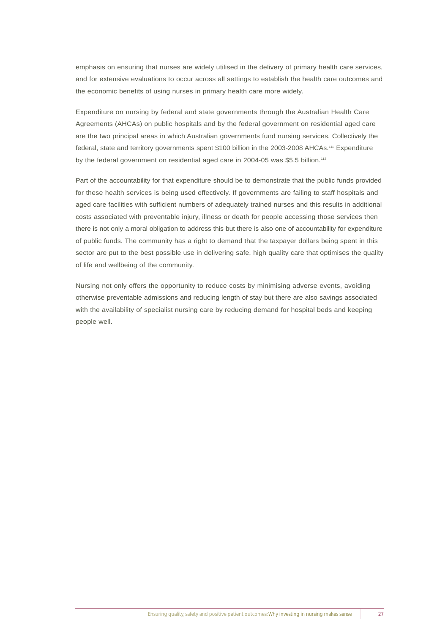emphasis on ensuring that nurses are widely utilised in the delivery of primary health care services, and for extensive evaluations to occur across all settings to establish the health care outcomes and the economic benefits of using nurses in primary health care more widely.

Expenditure on nursing by federal and state governments through the Australian Health Care Agreements (AHCAs) on public hospitals and by the federal government on residential aged care are the two principal areas in which Australian governments fund nursing services. Collectively the federal, state and territory governments spent \$100 billion in the 2003-2008 AHCAs.<sup>111</sup> Expenditure by the federal government on residential aged care in 2004-05 was \$5.5 billion.<sup>112</sup>

Part of the accountability for that expenditure should be to demonstrate that the public funds provided for these health services is being used effectively. If governments are failing to staff hospitals and aged care facilities with sufficient numbers of adequately trained nurses and this results in additional costs associated with preventable injury, illness or death for people accessing those services then there is not only a moral obligation to address this but there is also one of accountability for expenditure of public funds. The community has a right to demand that the taxpayer dollars being spent in this sector are put to the best possible use in delivering safe, high quality care that optimises the quality of life and wellbeing of the community.

Nursing not only offers the opportunity to reduce costs by minimising adverse events, avoiding otherwise preventable admissions and reducing length of stay but there are also savings associated with the availability of specialist nursing care by reducing demand for hospital beds and keeping people well.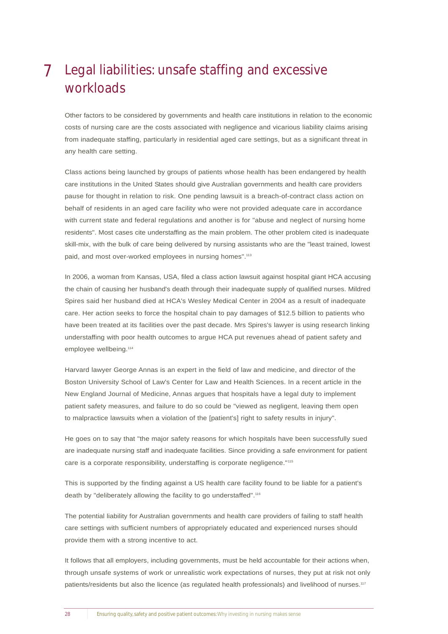### Legal liabilities: unsafe staffing and excessive workloads 7

Other factors to be considered by governments and health care institutions in relation to the economic costs of nursing care are the costs associated with negligence and vicarious liability claims arising from inadequate staffing, particularly in residential aged care settings, but as a significant threat in any health care setting.

Class actions being launched by groups of patients whose health has been endangered by health care institutions in the United States should give Australian governments and health care providers pause for thought in relation to risk. One pending lawsuit is a breach-of-contract class action on behalf of residents in an aged care facility who were not provided adequate care in accordance with current state and federal regulations and another is for "abuse and neglect of nursing home residents". Most cases cite understaffing as the main problem. The other problem cited is inadequate skill-mix, with the bulk of care being delivered by nursing assistants who are the "least trained, lowest paid, and most over-worked employees in nursing homes".<sup>113</sup>

In 2006, a woman from Kansas, USA, filed a class action lawsuit against hospital giant HCA accusing the chain of causing her husband's death through their inadequate supply of qualified nurses. Mildred Spires said her husband died at HCA's Wesley Medical Center in 2004 as a result of inadequate care. Her action seeks to force the hospital chain to pay damages of \$12.5 billion to patients who have been treated at its facilities over the past decade. Mrs Spires's lawyer is using research linking understaffing with poor health outcomes to argue HCA put revenues ahead of patient safety and employee wellbeing.<sup>114</sup>

Harvard lawyer George Annas is an expert in the field of law and medicine, and director of the Boston University School of Law's Center for Law and Health Sciences. In a recent article in the New England Journal of Medicine, Annas argues that hospitals have a legal duty to implement patient safety measures, and failure to do so could be "viewed as negligent, leaving them open to malpractice lawsuits when a violation of the [patient's] right to safety results in injury".

He goes on to say that "the major safety reasons for which hospitals have been successfully sued are inadequate nursing staff and inadequate facilities. Since providing a safe environment for patient care is a corporate responsibility, understaffing is corporate negligence."115

This is supported by the finding against a US health care facility found to be liable for a patient's death by "deliberately allowing the facility to go understaffed".<sup>116</sup>

The potential liability for Australian governments and health care providers of failing to staff health care settings with sufficient numbers of appropriately educated and experienced nurses should provide them with a strong incentive to act.

It follows that all employers, including governments, must be held accountable for their actions when, through unsafe systems of work or unrealistic work expectations of nurses, they put at risk not only patients/residents but also the licence (as regulated health professionals) and livelihood of nurses.<sup>117</sup>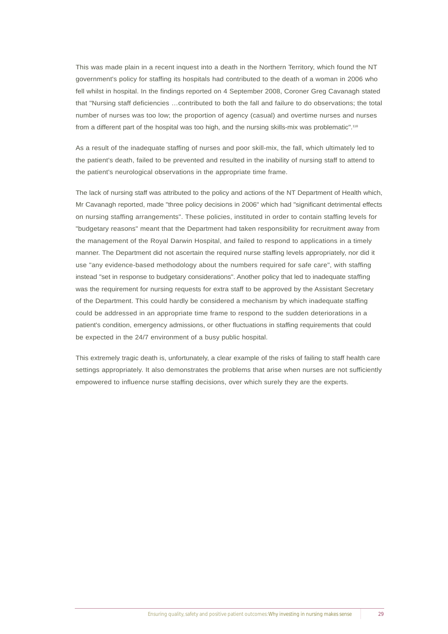This was made plain in a recent inquest into a death in the Northern Territory, which found the NT government's policy for staffing its hospitals had contributed to the death of a woman in 2006 who fell whilst in hospital. In the findings reported on 4 September 2008, Coroner Greg Cavanagh stated that "Nursing staff deficiencies …contributed to both the fall and failure to do observations; the total number of nurses was too low; the proportion of agency (casual) and overtime nurses and nurses from a different part of the hospital was too high, and the nursing skills-mix was problematic".<sup>118</sup>

As a result of the inadequate staffing of nurses and poor skill-mix, the fall, which ultimately led to the patient's death, failed to be prevented and resulted in the inability of nursing staff to attend to the patient's neurological observations in the appropriate time frame.

The lack of nursing staff was attributed to the policy and actions of the NT Department of Health which, Mr Cavanagh reported, made "three policy decisions in 2006" which had "significant detrimental effects on nursing staffing arrangements". These policies, instituted in order to contain staffing levels for "budgetary reasons" meant that the Department had taken responsibility for recruitment away from the management of the Royal Darwin Hospital, and failed to respond to applications in a timely manner. The Department did not ascertain the required nurse staffing levels appropriately, nor did it use "any evidence-based methodology about the numbers required for safe care", with staffing instead "set in response to budgetary considerations". Another policy that led to inadequate staffing was the requirement for nursing requests for extra staff to be approved by the Assistant Secretary of the Department. This could hardly be considered a mechanism by which inadequate staffing could be addressed in an appropriate time frame to respond to the sudden deteriorations in a patient's condition, emergency admissions, or other fluctuations in staffing requirements that could be expected in the 24/7 environment of a busy public hospital.

This extremely tragic death is, unfortunately, a clear example of the risks of failing to staff health care settings appropriately. It also demonstrates the problems that arise when nurses are not sufficiently empowered to influence nurse staffing decisions, over which surely they are the experts.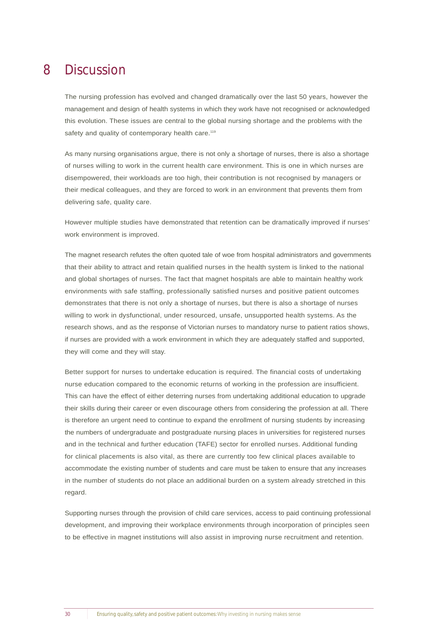#### **Discussion** 8

The nursing profession has evolved and changed dramatically over the last 50 years, however the management and design of health systems in which they work have not recognised or acknowledged this evolution. These issues are central to the global nursing shortage and the problems with the safety and quality of contemporary health care.<sup>119</sup>

As many nursing organisations argue, there is not only a shortage of nurses, there is also a shortage of nurses willing to work in the current health care environment. This is one in which nurses are disempowered, their workloads are too high, their contribution is not recognised by managers or their medical colleagues, and they are forced to work in an environment that prevents them from delivering safe, quality care.

However multiple studies have demonstrated that retention can be dramatically improved if nurses' work environment is improved.

The magnet research refutes the often quoted tale of woe from hospital administrators and governments that their ability to attract and retain qualified nurses in the health system is linked to the national and global shortages of nurses. The fact that magnet hospitals are able to maintain healthy work environments with safe staffing, professionally satisfied nurses and positive patient outcomes demonstrates that there is not only a shortage of nurses, but there is also a shortage of nurses willing to work in dysfunctional, under resourced, unsafe, unsupported health systems. As the research shows, and as the response of Victorian nurses to mandatory nurse to patient ratios shows, if nurses are provided with a work environment in which they are adequately staffed and supported, they will come and they will stay.

Better support for nurses to undertake education is required. The financial costs of undertaking nurse education compared to the economic returns of working in the profession are insufficient. This can have the effect of either deterring nurses from undertaking additional education to upgrade their skills during their career or even discourage others from considering the profession at all. There is therefore an urgent need to continue to expand the enrollment of nursing students by increasing the numbers of undergraduate and postgraduate nursing places in universities for registered nurses and in the technical and further education (TAFE) sector for enrolled nurses. Additional funding for clinical placements is also vital, as there are currently too few clinical places available to accommodate the existing number of students and care must be taken to ensure that any increases in the number of students do not place an additional burden on a system already stretched in this regard.

Supporting nurses through the provision of child care services, access to paid continuing professional development, and improving their workplace environments through incorporation of principles seen to be effective in magnet institutions will also assist in improving nurse recruitment and retention.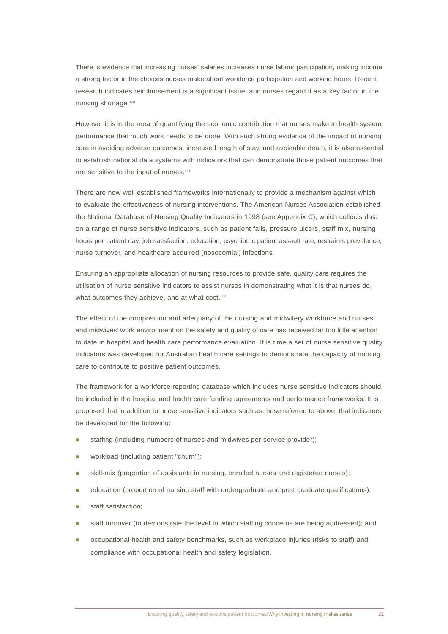There is evidence that increasing nurses' salaries increases nurse labour participation, making income a strong factor in the choices nurses make about workforce participation and working hours. Recent research indicates reimbursement is a significant issue, and nurses regard it as a key factor in the nursing shortage.<sup>120</sup>

However it is in the area of quantifying the economic contribution that nurses make to health system performance that much work needs to be done. With such strong evidence of the impact of nursing care in avoiding adverse outcomes, increased length of stay, and avoidable death, it is also essential to establish national data systems with indicators that can demonstrate those patient outcomes that are sensitive to the input of nurses.<sup>121</sup>

There are now well established frameworks internationally to provide a mechanism against which to evaluate the effectiveness of nursing interventions. The American Nurses Association established the National Database of Nursing Quality Indicators in 1998 (see Appendix C), which collects data on a range of nurse sensitive indicators, such as patient falls, pressure ulcers, staff mix, nursing hours per patient day, job satisfaction, education, psychiatric patient assault rate, restraints prevalence, nurse turnover, and healthcare acquired (nosocomial) infections.

Ensuring an appropriate allocation of nursing resources to provide safe, quality care requires the utilisation of nurse sensitive indicators to assist nurses in demonstrating what it is that nurses do, what outcomes they achieve, and at what cost.<sup>122</sup>

The effect of the composition and adequacy of the nursing and midwifery workforce and nurses' and midwives' work environment on the safety and quality of care has received far too little attention to date in hospital and health care performance evaluation. It is time a set of nurse sensitive quality indicators was developed for Australian health care settings to demonstrate the capacity of nursing care to contribute to positive patient outcomes.

The framework for a workforce reporting database which includes nurse sensitive indicators should be included in the hospital and health care funding agreements and performance frameworks. It is proposed that in addition to nurse sensitive indicators such as those referred to above, that indicators be developed for the following:

- staffing (including numbers of nurses and midwives per service provider);
- workload (including patient "churn");
- skill-mix (proportion of assistants in nursing, enrolled nurses and registered nurses);
- ! education (proportion of nursing staff with undergraduate and post graduate qualifications);
- staff satisfaction:
- staff turnover (to demonstrate the level to which staffing concerns are being addressed); and
- ! occupational health and safety benchmarks, such as workplace injuries (risks to staff) and compliance with occupational health and safety legislation.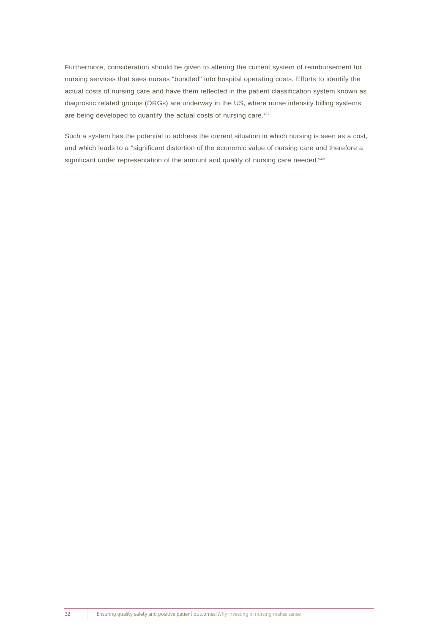Furthermore, consideration should be given to altering the current system of reimbursement for nursing services that sees nurses "bundled" into hospital operating costs. Efforts to identify the actual costs of nursing care and have them reflected in the patient classification system known as diagnostic related groups (DRGs) are underway in the US, where nurse intensity billing systems are being developed to quantify the actual costs of nursing care.<sup>123</sup>

Such a system has the potential to address the current situation in which nursing is seen as a cost, and which leads to a "significant distortion of the economic value of nursing care and therefore a significant under representation of the amount and quality of nursing care needed"124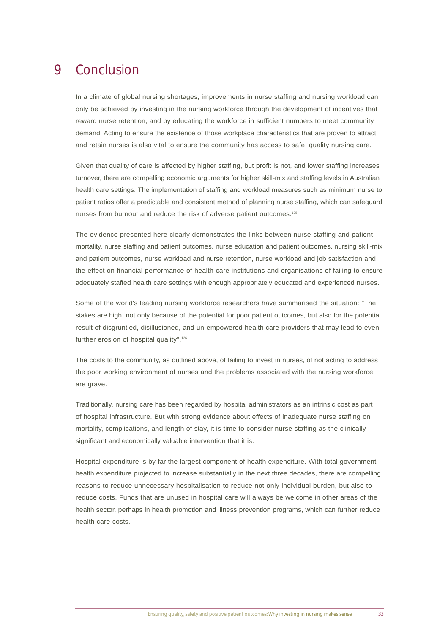#### Conclusion 9

In a climate of global nursing shortages, improvements in nurse staffing and nursing workload can only be achieved by investing in the nursing workforce through the development of incentives that reward nurse retention, and by educating the workforce in sufficient numbers to meet community demand. Acting to ensure the existence of those workplace characteristics that are proven to attract and retain nurses is also vital to ensure the community has access to safe, quality nursing care.

Given that quality of care is affected by higher staffing, but profit is not, and lower staffing increases turnover, there are compelling economic arguments for higher skill-mix and staffing levels in Australian health care settings. The implementation of staffing and workload measures such as minimum nurse to patient ratios offer a predictable and consistent method of planning nurse staffing, which can safeguard nurses from burnout and reduce the risk of adverse patient outcomes.<sup>125</sup>

The evidence presented here clearly demonstrates the links between nurse staffing and patient mortality, nurse staffing and patient outcomes, nurse education and patient outcomes, nursing skill-mix and patient outcomes, nurse workload and nurse retention, nurse workload and job satisfaction and the effect on financial performance of health care institutions and organisations of failing to ensure adequately staffed health care settings with enough appropriately educated and experienced nurses.

Some of the world's leading nursing workforce researchers have summarised the situation: "The stakes are high, not only because of the potential for poor patient outcomes, but also for the potential result of disgruntled, disillusioned, and un-empowered health care providers that may lead to even further erosion of hospital quality".<sup>126</sup>

The costs to the community, as outlined above, of failing to invest in nurses, of not acting to address the poor working environment of nurses and the problems associated with the nursing workforce are grave.

Traditionally, nursing care has been regarded by hospital administrators as an intrinsic cost as part of hospital infrastructure. But with strong evidence about effects of inadequate nurse staffing on mortality, complications, and length of stay, it is time to consider nurse staffing as the clinically significant and economically valuable intervention that it is.

Hospital expenditure is by far the largest component of health expenditure. With total government health expenditure projected to increase substantially in the next three decades, there are compelling reasons to reduce unnecessary hospitalisation to reduce not only individual burden, but also to reduce costs. Funds that are unused in hospital care will always be welcome in other areas of the health sector, perhaps in health promotion and illness prevention programs, which can further reduce health care costs.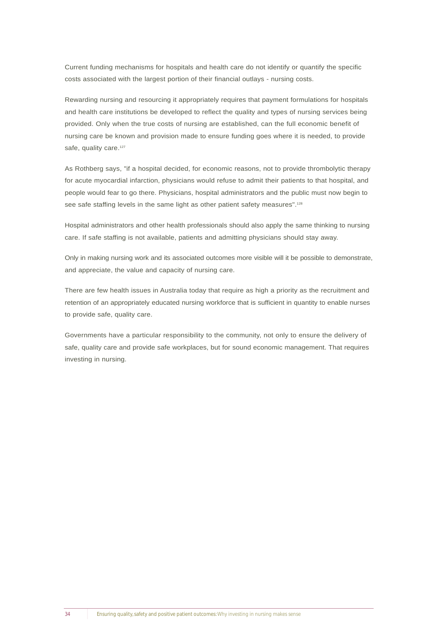Current funding mechanisms for hospitals and health care do not identify or quantify the specific costs associated with the largest portion of their financial outlays - nursing costs.

Rewarding nursing and resourcing it appropriately requires that payment formulations for hospitals and health care institutions be developed to reflect the quality and types of nursing services being provided. Only when the true costs of nursing are established, can the full economic benefit of nursing care be known and provision made to ensure funding goes where it is needed, to provide safe, quality care.<sup>127</sup>

As Rothberg says, "if a hospital decided, for economic reasons, not to provide thrombolytic therapy for acute myocardial infarction, physicians would refuse to admit their patients to that hospital, and people would fear to go there. Physicians, hospital administrators and the public must now begin to see safe staffing levels in the same light as other patient safety measures".<sup>128</sup>

Hospital administrators and other health professionals should also apply the same thinking to nursing care. If safe staffing is not available, patients and admitting physicians should stay away.

Only in making nursing work and its associated outcomes more visible will it be possible to demonstrate, and appreciate, the value and capacity of nursing care.

There are few health issues in Australia today that require as high a priority as the recruitment and retention of an appropriately educated nursing workforce that is sufficient in quantity to enable nurses to provide safe, quality care.

Governments have a particular responsibility to the community, not only to ensure the delivery of safe, quality care and provide safe workplaces, but for sound economic management. That requires investing in nursing.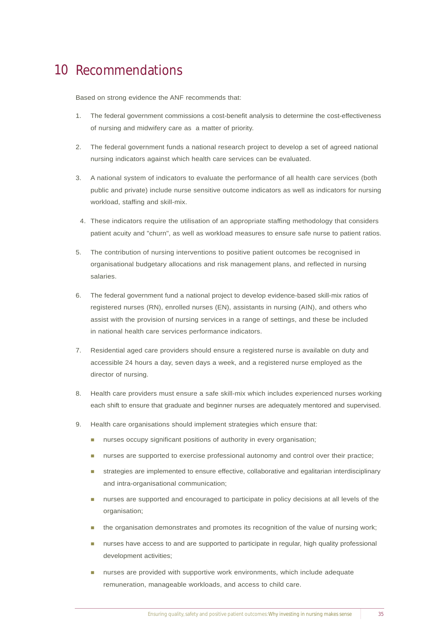# 10 Recommendations

Based on strong evidence the ANF recommends that:

- 1. The federal government commissions a cost-benefit analysis to determine the cost-effectiveness of nursing and midwifery care as a matter of priority.
- 2. The federal government funds a national research project to develop a set of agreed national nursing indicators against which health care services can be evaluated.
- 3. A national system of indicators to evaluate the performance of all health care services (both public and private) include nurse sensitive outcome indicators as well as indicators for nursing workload, staffing and skill-mix.
- 4. These indicators require the utilisation of an appropriate staffing methodology that considers patient acuity and "churn", as well as workload measures to ensure safe nurse to patient ratios.
- 5. The contribution of nursing interventions to positive patient outcomes be recognised in organisational budgetary allocations and risk management plans, and reflected in nursing salaries.
- 6. The federal government fund a national project to develop evidence-based skill-mix ratios of registered nurses (RN), enrolled nurses (EN), assistants in nursing (AIN), and others who assist with the provision of nursing services in a range of settings, and these be included in national health care services performance indicators.
- 7. Residential aged care providers should ensure a registered nurse is available on duty and accessible 24 hours a day, seven days a week, and a registered nurse employed as the director of nursing.
- 8. Health care providers must ensure a safe skill-mix which includes experienced nurses working each shift to ensure that graduate and beginner nurses are adequately mentored and supervised.
- 9. Health care organisations should implement strategies which ensure that:
	- **nurses occupy significant positions of authority in every organisation;**
	- **nurses are supported to exercise professional autonomy and control over their practice;**
	- **In strategies are implemented to ensure effective, collaborative and egalitarian interdisciplinary** and intra-organisational communication;
	- ! nurses are supported and encouraged to participate in policy decisions at all levels of the organisation;
	- ! the organisation demonstrates and promotes its recognition of the value of nursing work;
	- **nurses have access to and are supported to participate in regular, high quality professional** development activities;
	- ! nurses are provided with supportive work environments, which include adequate remuneration, manageable workloads, and access to child care.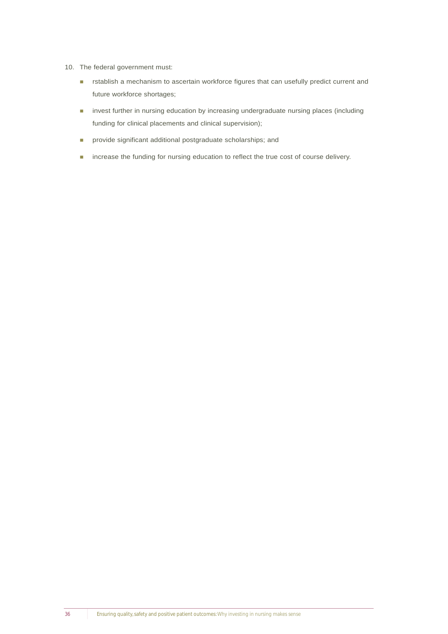- 10. The federal government must:
	- **EXECTED EXECTED EXECTED EXECTED** rstablish a mechanism to ascertain workforce figures that can usefully predict current and future workforce shortages;
	- **I** invest further in nursing education by increasing undergraduate nursing places (including funding for clinical placements and clinical supervision);
	- **n** provide significant additional postgraduate scholarships; and
	- **n** increase the funding for nursing education to reflect the true cost of course delivery.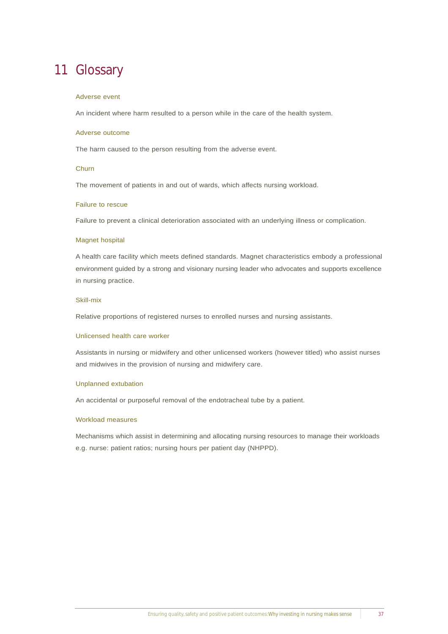# 11 Glossary

#### Adverse event

An incident where harm resulted to a person while in the care of the health system.

#### Adverse outcome

The harm caused to the person resulting from the adverse event.

#### **Churn**

The movement of patients in and out of wards, which affects nursing workload.

#### Failure to rescue

Failure to prevent a clinical deterioration associated with an underlying illness or complication.

#### Magnet hospital

A health care facility which meets defined standards. Magnet characteristics embody a professional environment guided by a strong and visionary nursing leader who advocates and supports excellence in nursing practice.

#### Skill-mix

Relative proportions of registered nurses to enrolled nurses and nursing assistants.

#### Unlicensed health care worker

Assistants in nursing or midwifery and other unlicensed workers (however titled) who assist nurses and midwives in the provision of nursing and midwifery care.

#### Unplanned extubation

An accidental or purposeful removal of the endotracheal tube by a patient.

#### Workload measures

Mechanisms which assist in determining and allocating nursing resources to manage their workloads e.g. nurse: patient ratios; nursing hours per patient day (NHPPD).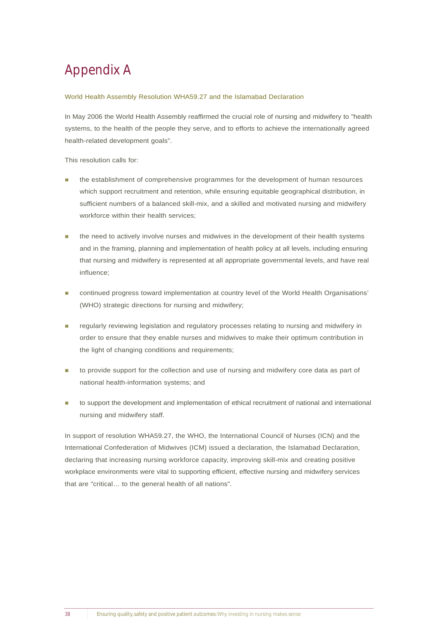# Appendix A

#### World Health Assembly Resolution WHA59.27 and the Islamabad Declaration

In May 2006 the World Health Assembly reaffirmed the crucial role of nursing and midwifery to "health systems, to the health of the people they serve, and to efforts to achieve the internationally agreed health-related development goals".

This resolution calls for:

- ! the establishment of comprehensive programmes for the development of human resources which support recruitment and retention, while ensuring equitable geographical distribution, in sufficient numbers of a balanced skill-mix, and a skilled and motivated nursing and midwifery workforce within their health services;
- the need to actively involve nurses and midwives in the development of their health systems and in the framing, planning and implementation of health policy at all levels, including ensuring that nursing and midwifery is represented at all appropriate governmental levels, and have real influence;
- ! continued progress toward implementation at country level of the World Health Organisations' (WHO) strategic directions for nursing and midwifery;
- regularly reviewing legislation and regulatory processes relating to nursing and midwifery in order to ensure that they enable nurses and midwives to make their optimum contribution in the light of changing conditions and requirements;
- to provide support for the collection and use of nursing and midwifery core data as part of national health-information systems; and
- to support the development and implementation of ethical recruitment of national and international nursing and midwifery staff.

In support of resolution WHA59.27, the WHO, the International Council of Nurses (ICN) and the International Confederation of Midwives (ICM) issued a declaration, the Islamabad Declaration, declaring that increasing nursing workforce capacity, improving skill-mix and creating positive workplace environments were vital to supporting efficient, effective nursing and midwifery services that are "critical… to the general health of all nations".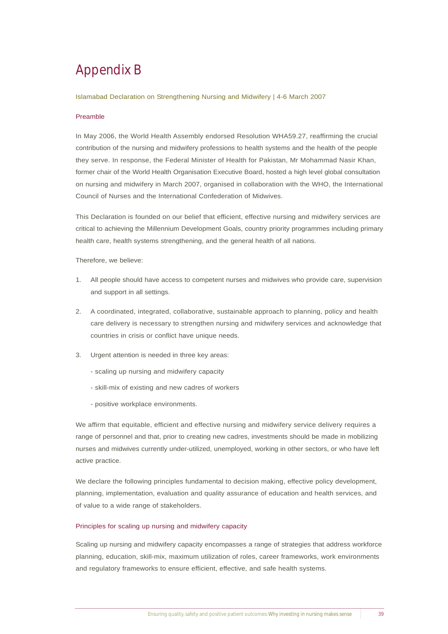# Appendix B

#### Islamabad Declaration on Strengthening Nursing and Midwifery | 4-6 March 2007

#### Preamble

In May 2006, the World Health Assembly endorsed Resolution WHA59.27, reaffirming the crucial contribution of the nursing and midwifery professions to health systems and the health of the people they serve. In response, the Federal Minister of Health for Pakistan, Mr Mohammad Nasir Khan, former chair of the World Health Organisation Executive Board, hosted a high level global consultation on nursing and midwifery in March 2007, organised in collaboration with the WHO, the International Council of Nurses and the International Confederation of Midwives.

This Declaration is founded on our belief that efficient, effective nursing and midwifery services are critical to achieving the Millennium Development Goals, country priority programmes including primary health care, health systems strengthening, and the general health of all nations.

Therefore, we believe:

- 1. All people should have access to competent nurses and midwives who provide care, supervision and support in all settings.
- 2. A coordinated, integrated, collaborative, sustainable approach to planning, policy and health care delivery is necessary to strengthen nursing and midwifery services and acknowledge that countries in crisis or conflict have unique needs.
- 3. Urgent attention is needed in three key areas:
	- scaling up nursing and midwifery capacity
	- skill-mix of existing and new cadres of workers
	- positive workplace environments.

We affirm that equitable, efficient and effective nursing and midwifery service delivery requires a range of personnel and that, prior to creating new cadres, investments should be made in mobilizing nurses and midwives currently under-utilized, unemployed, working in other sectors, or who have left active practice.

We declare the following principles fundamental to decision making, effective policy development, planning, implementation, evaluation and quality assurance of education and health services, and of value to a wide range of stakeholders.

#### Principles for scaling up nursing and midwifery capacity

Scaling up nursing and midwifery capacity encompasses a range of strategies that address workforce planning, education, skill-mix, maximum utilization of roles, career frameworks, work environments and regulatory frameworks to ensure efficient, effective, and safe health systems.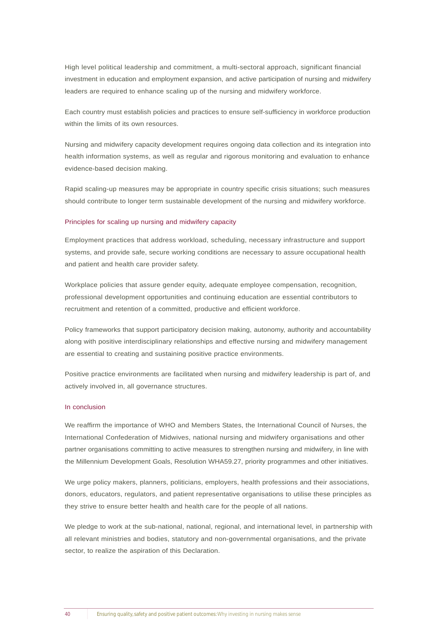High level political leadership and commitment, a multi-sectoral approach, significant financial investment in education and employment expansion, and active participation of nursing and midwifery leaders are required to enhance scaling up of the nursing and midwifery workforce.

Each country must establish policies and practices to ensure self-sufficiency in workforce production within the limits of its own resources.

Nursing and midwifery capacity development requires ongoing data collection and its integration into health information systems, as well as regular and rigorous monitoring and evaluation to enhance evidence-based decision making.

Rapid scaling-up measures may be appropriate in country specific crisis situations; such measures should contribute to longer term sustainable development of the nursing and midwifery workforce.

#### Principles for scaling up nursing and midwifery capacity

Employment practices that address workload, scheduling, necessary infrastructure and support systems, and provide safe, secure working conditions are necessary to assure occupational health and patient and health care provider safety.

Workplace policies that assure gender equity, adequate employee compensation, recognition, professional development opportunities and continuing education are essential contributors to recruitment and retention of a committed, productive and efficient workforce.

Policy frameworks that support participatory decision making, autonomy, authority and accountability along with positive interdisciplinary relationships and effective nursing and midwifery management are essential to creating and sustaining positive practice environments.

Positive practice environments are facilitated when nursing and midwifery leadership is part of, and actively involved in, all governance structures.

#### In conclusion

We reaffirm the importance of WHO and Members States, the International Council of Nurses, the International Confederation of Midwives, national nursing and midwifery organisations and other partner organisations committing to active measures to strengthen nursing and midwifery, in line with the Millennium Development Goals, Resolution WHA59.27, priority programmes and other initiatives.

We urge policy makers, planners, politicians, employers, health professions and their associations, donors, educators, regulators, and patient representative organisations to utilise these principles as they strive to ensure better health and health care for the people of all nations.

We pledge to work at the sub-national, national, regional, and international level, in partnership with all relevant ministries and bodies, statutory and non-governmental organisations, and the private sector, to realize the aspiration of this Declaration.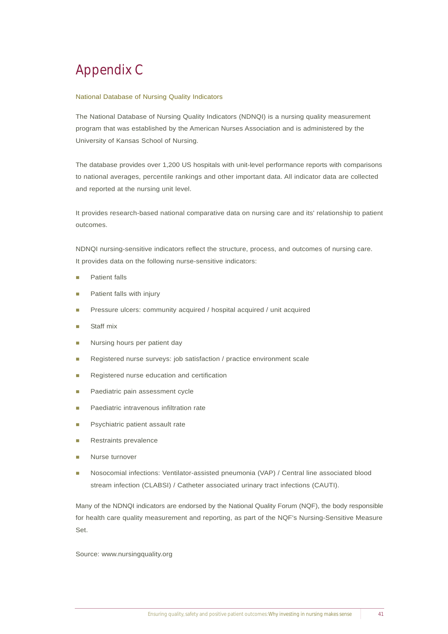# Appendix C

#### National Database of Nursing Quality Indicators

The National Database of Nursing Quality Indicators (NDNQI) is a nursing quality measurement program that was established by the American Nurses Association and is administered by the University of Kansas School of Nursing.

The database provides over 1,200 US hospitals with unit-level performance reports with comparisons to national averages, percentile rankings and other important data. All indicator data are collected and reported at the nursing unit level.

It provides research-based national comparative data on nursing care and its' relationship to patient outcomes.

NDNQI nursing-sensitive indicators reflect the structure, process, and outcomes of nursing care. It provides data on the following nurse-sensitive indicators:

- Patient falls
- Patient falls with injury
- ! Pressure ulcers: community acquired / hospital acquired / unit acquired
- Staff mix
- Nursing hours per patient day
- Registered nurse surveys: job satisfaction / practice environment scale
- ! Registered nurse education and certification
- Paediatric pain assessment cycle
- Paediatric intravenous infiltration rate
- Psychiatric patient assault rate
- Restraints prevalence
- Nurse turnover
- ! Nosocomial infections: Ventilator-assisted pneumonia (VAP) / Central line associated blood stream infection (CLABSI) / Catheter associated urinary tract infections (CAUTI).

Many of the NDNQI indicators are endorsed by the National Quality Forum (NQF), the body responsible for health care quality measurement and reporting, as part of the NQF's Nursing-Sensitive Measure Set.

Source: www.nursingquality.org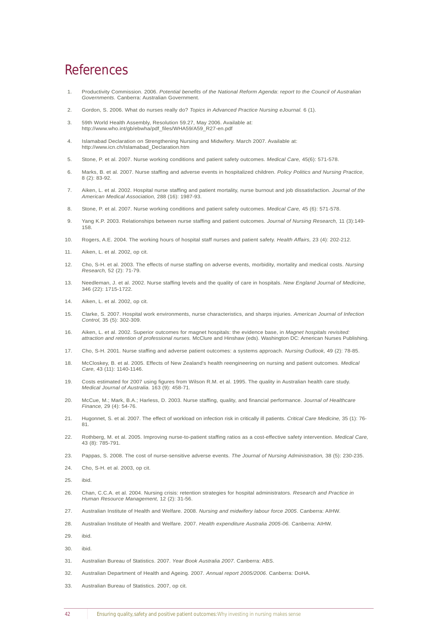### References

- 1. Productivity Commission. 2006. *Potential benefits of the National Reform Agenda*: r*eport to the Council of Australian Governments.* Canberra: Australian Government.
- 2. Gordon, S. 2006. What do nurses really do? *Topics in Advanced Practice Nursing eJournal.* 6 (1).
- 3. 59th World Health Assembly, Resolution 59.27, May 2006. Available at: http://www.who.int/gb/ebwha/pdf\_files/WHA59/A59\_R27-en.pdf
- 4. Islamabad Declaration on Strengthening Nursing and Midwifery. March 2007. Available at: http://www.icn.ch/Islamabad\_Declaration.htm
- 5. Stone, P. et al. 2007. Nurse working conditions and patient safety outcomes. *Medical Care,* 45(6): 571-578.
- 6. Marks, B. et al. 2007. Nurse staffing and adverse events in hospitalized children. *Policy Politics and Nursing Practice,* 8 (2): 83-92.
- 7. Aiken, L. et al. 2002. Hospital nurse staffing and patient mortality, nurse burnout and job dissatisfaction. *Journal of the American Medical Association,* 288 (16): 1987-93.
- 8. Stone, P. et al. 2007. Nurse working conditions and patient safety outcomes. *Medical Care,* 45 (6): 571-578.
- 9. Yang K.P. 2003. Relationships between nurse staffing and patient outcomes. *Journal of Nursing Research,* 11 (3):149- 158.
- 10. Rogers, A.E. 2004. The working hours of hospital staff nurses and patient safety. *Health Affairs,* 23 (4): 202-212.
- 11. Aiken, L. et al. 2002, op cit.
- 12. Cho, S-H. et al. 2003. The effects of nurse staffing on adverse events, morbidity, mortality and medical costs. *Nursing Research,* 52 (2): 71-79.
- 13. Needleman, J. et al. 2002. Nurse staffing levels and the quality of care in hospitals. *New England Journal of Medicine,*  346 (22): 1715-1722.
- 14. Aiken, L. et al. 2002, op cit.
- 15. Clarke, S. 2007. Hospital work environments, nurse characteristics, and sharps injuries. *American Journal of Infection Control,* 35 (5): 302-309.
- 16. Aiken, L. et al. 2002. Superior outcomes for magnet hospitals: the evidence base, in *Magnet hospitals revisited: attraction and retention of professional nurses.* McClure and Hinshaw (eds). Washington DC: American Nurses Publishing.
- 17. Cho, S-H. 2001. Nurse staffing and adverse patient outcomes: a systems approach. *Nursing Outlook,* 49 (2): 78-85.
- 18. McCloskey, B. et al. 2005. Effects of New Zealand's health reengineering on nursing and patient outcomes. *Medical Care,* 43 (11): 1140-1146.
- 19. Costs estimated for 2007 using figures from Wilson R.M. et al. 1995. The quality in Australian health care study. *Medical Journal of Australia.* 163 (9): 458-71.
- 20. McCue, M.; Mark, B.A.; Harless, D. 2003. Nurse staffing, quality, and financial performance. J*ournal of Healthcare Finance,* 29 (4): 54-76.
- 21. Hugonnet, S. et al. 2007. The effect of workload on infection risk in critically ill patients. *Critical Care Medicine,* 35 (1): 76- 81.
- 22. Rothberg, M. et al. 2005. Improving nurse-to-patient staffing ratios as a cost-effective safety intervention. *Medical Care,* 43 (8): 785-791.
- 23. Pappas, S. 2008. The cost of nurse-sensitive adverse events. *The Journal of Nursing Administration,* 38 (5): 230-235.
- 24. Cho, S-H. et al. 2003, op cit.
- 25. ibid.
- 26. Chan, C.C.A. et al. 2004. Nursing crisis: retention strategies for hospital administrators. *Research and Practice in Human Resource Management,* 12 (2): 31-56.
- 27. Australian Institute of Health and Welfare. 2008. *Nursing and midwifery labour force 2005*. Canberra: AIHW.
- 28. Australian Institute of Health and Welfare. 2007. *Health expenditure Australia 2005-06.* Canberra: AIHW.
- 29. ibid.
- 30. ibid.
- 31. Australian Bureau of Statistics. 2007. *Year Book Australia 2007*. Canberra: ABS.
- 32. Australian Department of Health and Ageing. 2007. *Annual report 2005/2006*. Canberra: DoHA.
- 33. Australian Bureau of Statistics. 2007, op cit.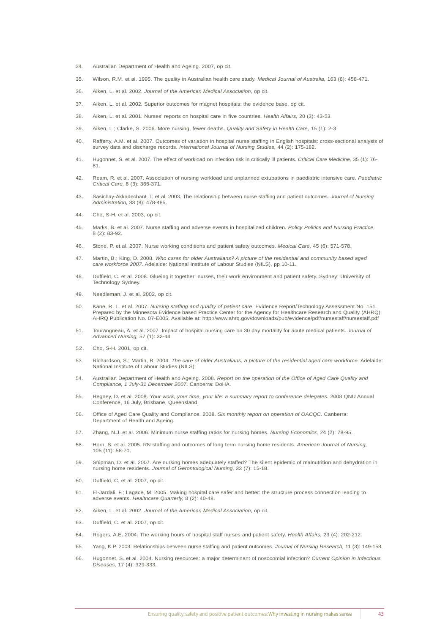- 34. Australian Department of Health and Ageing. 2007, op cit.
- 35. Wilson, R.M. et al. 1995. The quality in Australian health care study. *Medical Journal of Australia,* 163 (6): 458-471.
- 36. Aiken, L. et al. 2002. *Journal of the American Medical Association*, op cit.
- 37. Aiken, L. et al. 2002. Superior outcomes for magnet hospitals: the evidence base, op cit.
- 38. Aiken, L. et al. 2001. Nurses' reports on hospital care in five countries. *Health Affairs,* 20 (3): 43-53.
- 39. Aiken, L.; Clarke, S. 2006. More nursing, fewer deaths. *Quality and Safety in Health Care,* 15 (1): 2-3.
- 40. Rafferty, A.M. et al. 2007. Outcomes of variation in hospital nurse staffing in English hospitals: cross-sectional analysis of survey data and discharge records. *International Journal of Nursing Studies,* 44 (2): 175-182.
- 41. Hugonnet, S. et al. 2007. The effect of workload on infection risk in critically ill patients. *Critical Care Medicine,* 35 (1): 76- 81.
- 42. Ream, R. et al. 2007. Association of nursing workload and unplanned extubations in paediatric intensive care. *Paediatric Critical Care,* 8 (3): 366-371.
- 43. Sasichay-Akkadechant, T. et al. 2003. The relationship between nurse staffing and patient outcomes. *Journal of Nursing Administration,* 33 (9): 478-485.
- 44. Cho, S-H. et al. 2003, op cit.
- 45. Marks, B. et al. 2007. Nurse staffing and adverse events in hospitalized children. *Policy Politics and Nursing Practice,* 8 (2): 83-92.
- 46. Stone, P. et al. 2007. Nurse working conditions and patient safety outcomes. *Medical Care,* 45 (6): 571-578.
- 47. Martin, B.; King, D. 2008. *Who cares for older Australians? A picture of the residential and community based aged care workforce 2007*. Adelaide: National Institute of Labour Studies (NILS), pp 10-11.
- 48. Duffield, C. et al. 2008. Glueing it together: nurses, their work environment and patient safety. Sydney: University of Technology Sydney.
- 49. Needleman, J. et al. 2002, op cit.
- 50. Kane, R. L. et al. 2007. *Nursing staffing and quality of patient care.* Evidence Report/Technology Assessment No. 151. Prepared by the Minnesota Evidence based Practice Center for the Agency for Healthcare Research and Quality (AHRQ). AHRQ Publication No. 07-E005. Available at: http://www.ahrq.gov/downloads/pub/evidence/pdf/nursestaff/nursestaff.pdf
- 51. Tourangneau, A. et al. 2007. Impact of hospital nursing care on 30 day mortality for acute medical patients. *Journal of Advanced Nursing,* 57 (1): 32-44.
- 52. Cho, S-H. 2001, op cit.
- 53. Richardson, S.; Martin, B. 2004. *The care of older Australians: a picture of the residential aged care workforce.* Adelaide: National Institute of Labour Studies (NILS).
- 54. Australian Department of Health and Ageing. 2008. *Report on the operation of the Office of Aged Care Quality and Compliance, 1 July-31 December 2007*. Canberra: DoHA.
- 55. Hegney, D. et al. 2008. *Your work, your time, your life: a summary report to conference delegates.* 2008 QNU Annual Conference, 16 July, Brisbane, Queensland.
- 56. Office of Aged Care Quality and Compliance. 2008. *Six monthly report on operation of OACQC*. Canberra: Department of Health and Ageing.
- 57. Zhang, N.J. et al. 2006. Minimum nurse staffing ratios for nursing homes. *Nursing Economics,* 24 (2): 78-95.
- 58. Horn, S. et al. 2005. RN staffing and outcomes of long term nursing home residents. *American Journal of Nursing,* 105 (11): 58-70.
- 59. Shipman, D. et al. 2007. Are nursing homes adequately staffed? The silent epidemic of malnutrition and dehydration in nursing home residents. *Journal of Gerontological Nursing,* 33 (7): 15-18.
- 60. Duffield, C. et al. 2007, op cit.
- 61. El-Jardali, F.; Lagace, M. 2005. Making hospital care safer and better: the structure process connection leading to adverse events. *Healthcare Quarterly,* 8 (2): 40-48.
- 62. Aiken, L. et al. 2002. *Journal of the American Medical Association*, op cit.
- 63. Duffield, C. et al. 2007, op cit.
- 64. Rogers, A.E. 2004. The working hours of hospital staff nurses and patient safety. *Health Affairs,* 23 (4): 202-212.
- 65. Yang, K.P. 2003. Relationships between nurse staffing and patient outcomes. *Journal of Nursing Research,* 11 (3): 149-158.
- 66. Hugonnet, S. et al. 2004. Nursing resources: a major determinant of nosocomial infection? *Current Opinion in Infectious Diseases,* 17 (4): 329-333.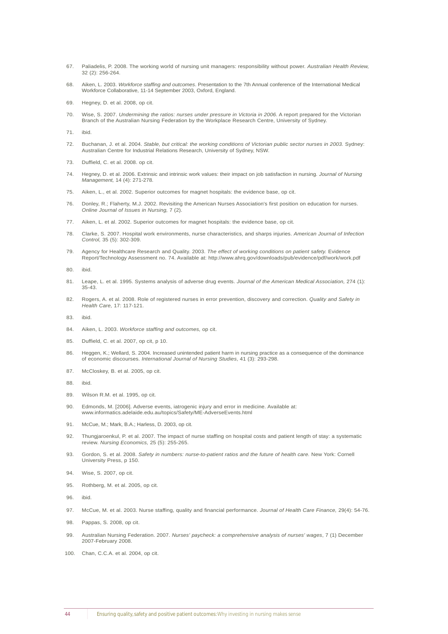- 67. Paliadelis, P. 2008. The working world of nursing unit managers: responsibility without power. *Australian Health Review,* 32 (2): 256-264.
- 68. Aiken, L. 2003. *Workforce staffing and outcomes*. Presentation to the 7th Annual conference of the International Medical Workforce Collaborative, 11-14 September 2003, Oxford, England.
- 69. Hegney, D. et al. 2008, op cit.
- 70. Wise, S. 2007. *Undermining the ratios: nurses under pressure in Victoria in 2006.* A report prepared for the Victorian Branch of the Australian Nursing Federation by the Workplace Research Centre, University of Sydney.
- 71. ibid.
- 72. Buchanan, J. et al. 2004. *Stable, but critical: the working conditions of Victorian public sector nurses in 2003.* Sydney: Australian Centre for Industrial Relations Research, University of Sydney, NSW.
- 73. Duffield, C. et al. 2008. op cit.
- 74. Hegney, D. et al. 2006. Extrinsic and intrinsic work values: their impact on job satisfaction in nursing. *Journal of Nursing Management,* 14 (4): 271-278.
- 75. Aiken, L., et al. 2002. Superior outcomes for magnet hospitals: the evidence base, op cit.
- 76. Donley, R.; Flaherty, M.J. 2002. Revisiting the American Nurses Association's first position on education for nurses. *Online Journal of Issues in Nursing,* 7 (2).
- 77. Aiken, L. et al. 2002. Superior outcomes for magnet hospitals: the evidence base, op cit.
- 78. Clarke, S. 2007. Hospital work environments, nurse characteristics, and sharps injuries. *American Journal of Infection Control,* 35 (5): 302-309.
- 79. Agency for Healthcare Research and Quality. 2003. *The effect of working conditions on patient safety.* Evidence Report/Technology Assessment no. 74. Available at: http://www.ahrq.gov/downloads/pub/evidence/pdf/work/work.pdf
- 80. ibid.
- 81. Leape, L. et al. 1995. Systems analysis of adverse drug events. *Journal of the American Medical Association,* 274 (1): 35-43.
- 82. Rogers, A. et al. 2008. Role of registered nurses in error prevention, discovery and correction. *Quality and Safety in Health Care,* 17: 117-121.
- 83. ibid.
- 84. Aiken, L. 2003. *Workforce staffing and outcomes,* op cit.
- 85. Duffield, C. et al. 2007, op cit, p 10.
- 86. Heggen, K.; Wellard, S. 2004. Increased unintended patient harm in nursing practice as a consequence of the dominance of economic discourses. *International Journal of Nursing Studies*, 41 (3): 293-298.
- 87. McCloskey, B. et al. 2005, op cit.
- 88. ibid.
- 89. Wilson R.M. et al. 1995, op cit.
- 90. Edmonds, M. [2006]. Adverse events, iatrogenic injury and error in medicine. Available at: www.informatics.adelaide.edu.au/topics/Safety/ME-AdverseEvents.html
- 91. McCue, M.; Mark, B.A.; Harless, D. 2003, op cit.
- 92. Thungjaroenkul, P. et al. 2007. The impact of nurse staffing on hospital costs and patient length of stay: a systematic review. *Nursing Economics,* 25 (5): 255-265.
- 93. Gordon, S. et al. 2008. *Safety in numbers: nurse-to-patient ratios and the future of health care.* New York: Cornell University Press, p 150.
- 94. Wise, S. 2007, op cit.
- 95. Rothberg, M. et al. 2005, op cit.
- 96. ibid.
- 97. McCue, M. et al. 2003. Nurse staffing, quality and financial performance. *Journal of Health Care Finance,* 29(4): 54-76.
- 98. Pappas, S. 2008, op cit.
- 99. Australian Nursing Federation. 2007. *Nurses' paycheck: a comprehensive analysis of nurses' wages*, 7 (1) December 2007-February 2008.
- 100. Chan, C.C.A. et al. 2004, op cit.